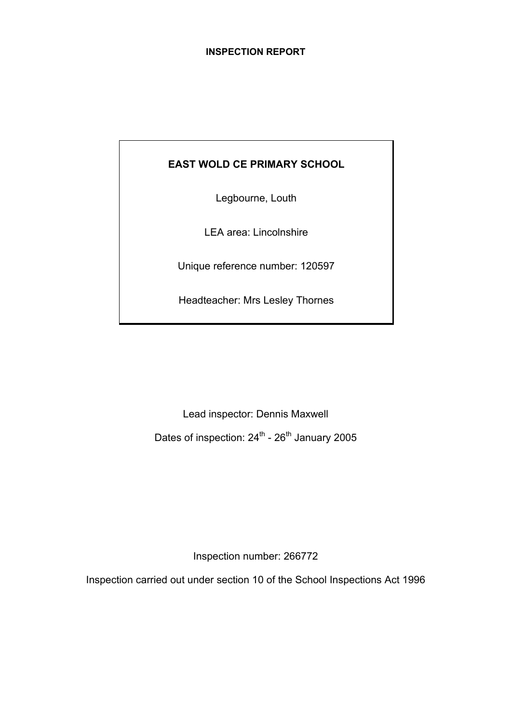# **EAST WOLD CE PRIMARY SCHOOL**

Legbourne, Louth

LEA area: Lincolnshire

Unique reference number: 120597

Headteacher: Mrs Lesley Thornes

Lead inspector: Dennis Maxwell

Dates of inspection: 24<sup>th</sup> - 26<sup>th</sup> January 2005

Inspection number: 266772

Inspection carried out under section 10 of the School Inspections Act 1996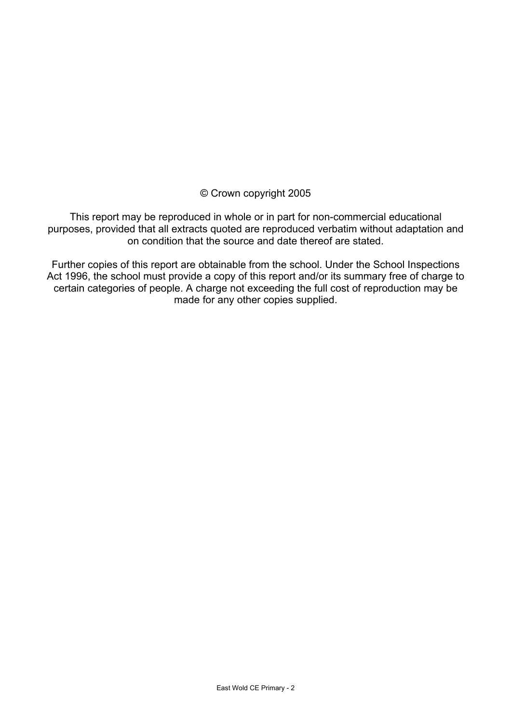# © Crown copyright 2005

This report may be reproduced in whole or in part for non-commercial educational purposes, provided that all extracts quoted are reproduced verbatim without adaptation and on condition that the source and date thereof are stated.

Further copies of this report are obtainable from the school. Under the School Inspections Act 1996, the school must provide a copy of this report and/or its summary free of charge to certain categories of people. A charge not exceeding the full cost of reproduction may be made for any other copies supplied.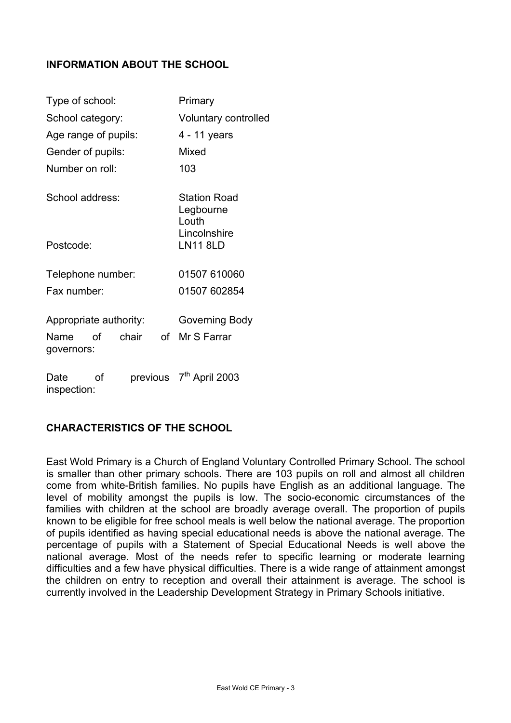# **INFORMATION ABOUT THE SCHOOL**

| Type of school:                         | Primary                             |
|-----------------------------------------|-------------------------------------|
| School category:                        | Voluntary controlled                |
| Age range of pupils:                    | 4 - 11 years                        |
| Gender of pupils:                       | Mixed                               |
| Number on roll:                         | 103                                 |
| School address:                         | Station Road<br>Legbourne<br>Louth  |
| Postcode:                               | Lincolnshire<br><b>LN11 8LD</b>     |
| Telephone number:                       | 01507 610060                        |
| Fax number:                             | 01507 602854                        |
| Appropriate authority:                  | Governing Body                      |
| chair<br>of<br>Name<br>of<br>governors: | Mr S Farrar                         |
| Date<br>Ωf<br>inspection:               | previous 7 <sup>th</sup> April 2003 |

# **CHARACTERISTICS OF THE SCHOOL**

East Wold Primary is a Church of England Voluntary Controlled Primary School. The school is smaller than other primary schools. There are 103 pupils on roll and almost all children come from white-British families. No pupils have English as an additional language. The level of mobility amongst the pupils is low. The socio-economic circumstances of the families with children at the school are broadly average overall. The proportion of pupils known to be eligible for free school meals is well below the national average. The proportion of pupils identified as having special educational needs is above the national average. The percentage of pupils with a Statement of Special Educational Needs is well above the national average. Most of the needs refer to specific learning or moderate learning difficulties and a few have physical difficulties. There is a wide range of attainment amongst the children on entry to reception and overall their attainment is average. The school is currently involved in the Leadership Development Strategy in Primary Schools initiative.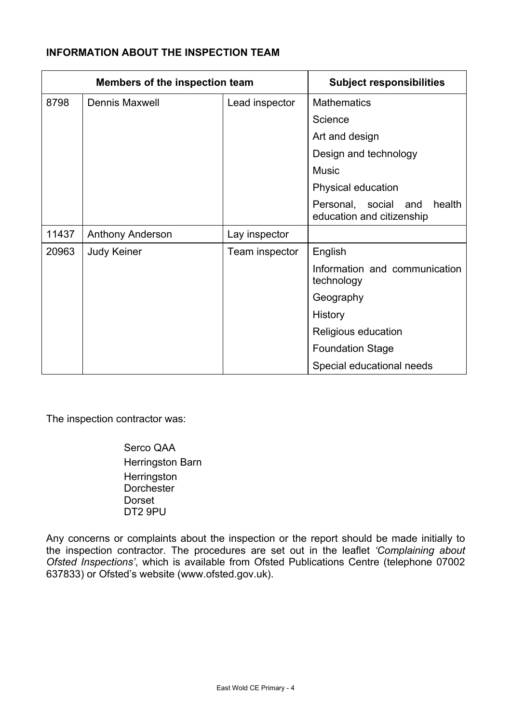# **INFORMATION ABOUT THE INSPECTION TEAM**

| <b>Members of the inspection team</b> |                         | <b>Subject responsibilities</b> |                                                                |
|---------------------------------------|-------------------------|---------------------------------|----------------------------------------------------------------|
| 8798                                  | Dennis Maxwell          | Lead inspector                  | <b>Mathematics</b>                                             |
|                                       |                         |                                 | Science                                                        |
|                                       |                         |                                 | Art and design                                                 |
|                                       |                         |                                 | Design and technology                                          |
|                                       |                         |                                 | <b>Music</b>                                                   |
|                                       |                         |                                 | Physical education                                             |
|                                       |                         |                                 | Personal, social<br>health<br>and<br>education and citizenship |
| 11437                                 | <b>Anthony Anderson</b> | Lay inspector                   |                                                                |
| 20963                                 | <b>Judy Keiner</b>      | Team inspector                  | English                                                        |
|                                       |                         |                                 | Information and communication<br>technology                    |
|                                       |                         |                                 | Geography                                                      |
|                                       |                         |                                 | History                                                        |
|                                       |                         |                                 | Religious education                                            |
|                                       |                         |                                 | <b>Foundation Stage</b>                                        |
|                                       |                         |                                 | Special educational needs                                      |

The inspection contractor was:

 Serco QAA Herringston Barn **Herringston Dorchester**  Dorset DT2 9PU

Any concerns or complaints about the inspection or the report should be made initially to the inspection contractor. The procedures are set out in the leaflet *'Complaining about Ofsted Inspections'*, which is available from Ofsted Publications Centre (telephone 07002 637833) or Ofsted's website (www.ofsted.gov.uk).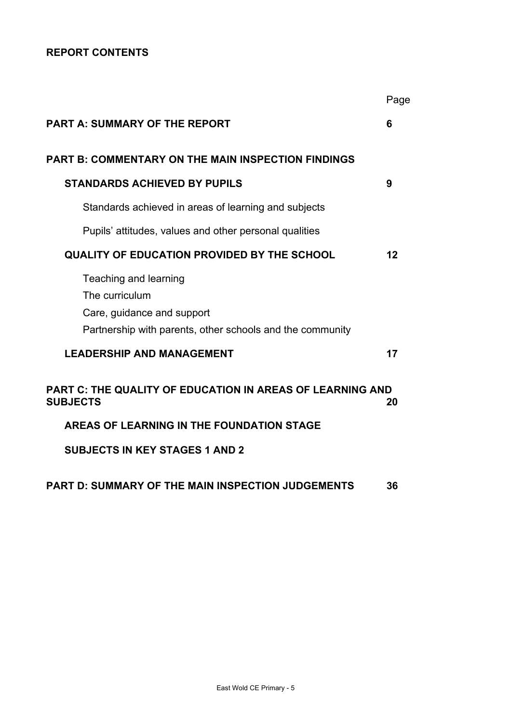# **REPORT CONTENTS**

|                                                                                                                                    | Page |
|------------------------------------------------------------------------------------------------------------------------------------|------|
| <b>PART A: SUMMARY OF THE REPORT</b>                                                                                               | 6    |
| <b>PART B: COMMENTARY ON THE MAIN INSPECTION FINDINGS</b>                                                                          |      |
| <b>STANDARDS ACHIEVED BY PUPILS</b>                                                                                                | 9    |
| Standards achieved in areas of learning and subjects                                                                               |      |
| Pupils' attitudes, values and other personal qualities                                                                             |      |
| <b>QUALITY OF EDUCATION PROVIDED BY THE SCHOOL</b>                                                                                 | 12   |
| Teaching and learning<br>The curriculum<br>Care, guidance and support<br>Partnership with parents, other schools and the community |      |
| <b>LEADERSHIP AND MANAGEMENT</b>                                                                                                   | 17   |
| PART C: THE QUALITY OF EDUCATION IN AREAS OF LEARNING AND<br><b>SUBJECTS</b>                                                       | 20   |
| AREAS OF LEARNING IN THE FOUNDATION STAGE                                                                                          |      |
| <b>SUBJECTS IN KEY STAGES 1 AND 2</b>                                                                                              |      |
| PART D: SUMMARY OF THE MAIN INSPECTION JUDGEMENTS                                                                                  | 36   |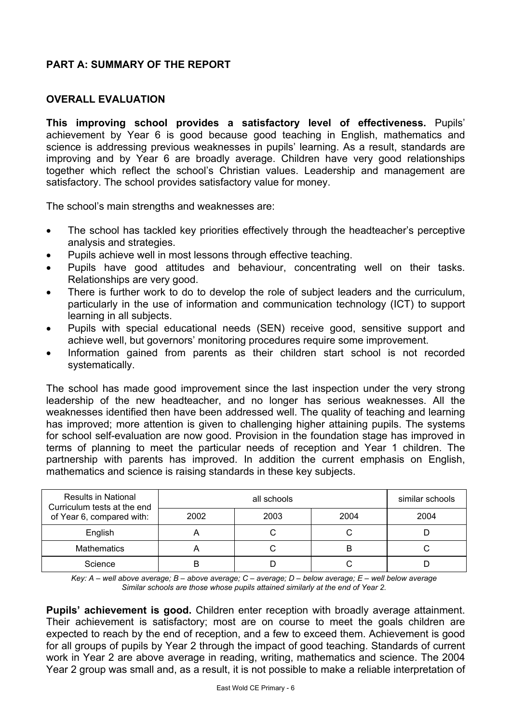# **PART A: SUMMARY OF THE REPORT**

## **OVERALL EVALUATION**

**This improving school provides a satisfactory level of effectiveness.** Pupils' achievement by Year 6 is good because good teaching in English, mathematics and science is addressing previous weaknesses in pupils' learning. As a result, standards are improving and by Year 6 are broadly average. Children have very good relationships together which reflect the school's Christian values. Leadership and management are satisfactory. The school provides satisfactory value for money.

The school's main strengths and weaknesses are:

- The school has tackled key priorities effectively through the headteacher's perceptive analysis and strategies.
- Pupils achieve well in most lessons through effective teaching.
- Pupils have good attitudes and behaviour, concentrating well on their tasks. Relationships are very good.
- There is further work to do to develop the role of subject leaders and the curriculum, particularly in the use of information and communication technology (ICT) to support learning in all subjects.
- Pupils with special educational needs (SEN) receive good, sensitive support and achieve well, but governors' monitoring procedures require some improvement.
- Information gained from parents as their children start school is not recorded systematically.

The school has made good improvement since the last inspection under the very strong leadership of the new headteacher, and no longer has serious weaknesses. All the weaknesses identified then have been addressed well. The quality of teaching and learning has improved; more attention is given to challenging higher attaining pupils. The systems for school self-evaluation are now good. Provision in the foundation stage has improved in terms of planning to meet the particular needs of reception and Year 1 children. The partnership with parents has improved. In addition the current emphasis on English, mathematics and science is raising standards in these key subjects.

| <b>Results in National</b><br>Curriculum tests at the end |      | similar schools |      |      |
|-----------------------------------------------------------|------|-----------------|------|------|
| of Year 6, compared with:                                 | 2002 | 2003            | 2004 | 2004 |
| English                                                   |      |                 |      |      |
| <b>Mathematics</b>                                        |      |                 | B    |      |
| Science                                                   |      |                 |      |      |

*Key: A – well above average; B – above average; C – average; D – below average; E – well below average Similar schools are those whose pupils attained similarly at the end of Year 2.* 

**Pupils' achievement is good.** Children enter reception with broadly average attainment. Their achievement is satisfactory; most are on course to meet the goals children are expected to reach by the end of reception, and a few to exceed them. Achievement is good for all groups of pupils by Year 2 through the impact of good teaching. Standards of current work in Year 2 are above average in reading, writing, mathematics and science. The 2004 Year 2 group was small and, as a result, it is not possible to make a reliable interpretation of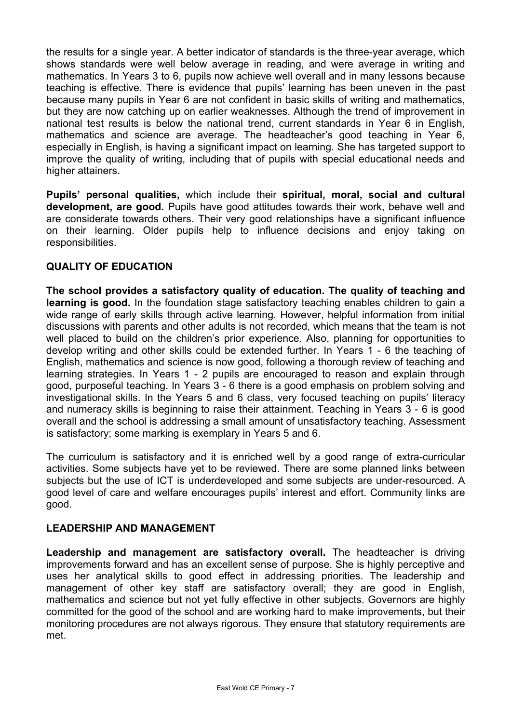the results for a single year. A better indicator of standards is the three-year average, which shows standards were well below average in reading, and were average in writing and mathematics. In Years 3 to 6, pupils now achieve well overall and in many lessons because teaching is effective. There is evidence that pupils' learning has been uneven in the past because many pupils in Year 6 are not confident in basic skills of writing and mathematics, but they are now catching up on earlier weaknesses. Although the trend of improvement in national test results is below the national trend, current standards in Year 6 in English, mathematics and science are average. The headteacher's good teaching in Year 6, especially in English, is having a significant impact on learning. She has targeted support to improve the quality of writing, including that of pupils with special educational needs and higher attainers.

**Pupils' personal qualities,** which include their **spiritual, moral, social and cultural development, are good.** Pupils have good attitudes towards their work, behave well and are considerate towards others. Their very good relationships have a significant influence on their learning. Older pupils help to influence decisions and enjoy taking on responsibilities.

# **QUALITY OF EDUCATION**

**The school provides a satisfactory quality of education. The quality of teaching and learning is good.** In the foundation stage satisfactory teaching enables children to gain a wide range of early skills through active learning. However, helpful information from initial discussions with parents and other adults is not recorded, which means that the team is not well placed to build on the children's prior experience. Also, planning for opportunities to develop writing and other skills could be extended further. In Years 1 - 6 the teaching of English, mathematics and science is now good, following a thorough review of teaching and learning strategies. In Years 1 - 2 pupils are encouraged to reason and explain through good, purposeful teaching. In Years 3 - 6 there is a good emphasis on problem solving and investigational skills. In the Years 5 and 6 class, very focused teaching on pupils' literacy and numeracy skills is beginning to raise their attainment. Teaching in Years 3 - 6 is good overall and the school is addressing a small amount of unsatisfactory teaching. Assessment is satisfactory; some marking is exemplary in Years 5 and 6.

The curriculum is satisfactory and it is enriched well by a good range of extra-curricular activities. Some subjects have yet to be reviewed. There are some planned links between subjects but the use of ICT is underdeveloped and some subjects are under-resourced. A good level of care and welfare encourages pupils' interest and effort. Community links are good.

## **LEADERSHIP AND MANAGEMENT**

**Leadership and management are satisfactory overall.** The headteacher is driving improvements forward and has an excellent sense of purpose. She is highly perceptive and uses her analytical skills to good effect in addressing priorities. The leadership and management of other key staff are satisfactory overall; they are good in English, mathematics and science but not yet fully effective in other subjects. Governors are highly committed for the good of the school and are working hard to make improvements, but their monitoring procedures are not always rigorous. They ensure that statutory requirements are met.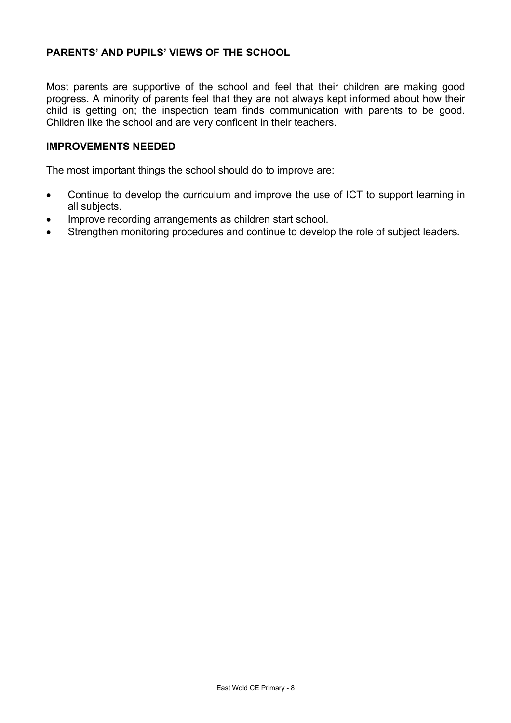# **PARENTS' AND PUPILS' VIEWS OF THE SCHOOL**

Most parents are supportive of the school and feel that their children are making good progress. A minority of parents feel that they are not always kept informed about how their child is getting on; the inspection team finds communication with parents to be good. Children like the school and are very confident in their teachers.

## **IMPROVEMENTS NEEDED**

The most important things the school should do to improve are:

- Continue to develop the curriculum and improve the use of ICT to support learning in all subjects.
- Improve recording arrangements as children start school.
- Strengthen monitoring procedures and continue to develop the role of subject leaders.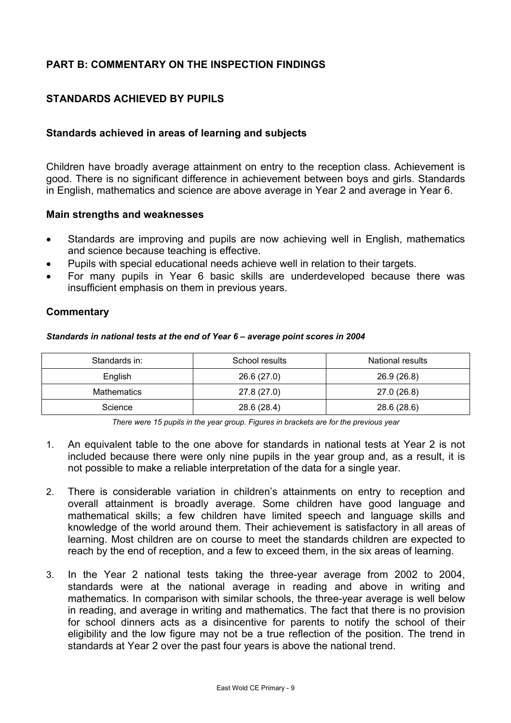# **PART B: COMMENTARY ON THE INSPECTION FINDINGS**

# **STANDARDS ACHIEVED BY PUPILS**

### **Standards achieved in areas of learning and subjects**

Children have broadly average attainment on entry to the reception class. Achievement is good. There is no significant difference in achievement between boys and girls. Standards in English, mathematics and science are above average in Year 2 and average in Year 6.

#### **Main strengths and weaknesses**

- Standards are improving and pupils are now achieving well in English, mathematics and science because teaching is effective.
- Pupils with special educational needs achieve well in relation to their targets.
- For many pupils in Year 6 basic skills are underdeveloped because there was insufficient emphasis on them in previous years.

### **Commentary**

*Standards in national tests at the end of Year 6 – average point scores in 2004* 

| Standards in:      | School results | National results |
|--------------------|----------------|------------------|
| English            | 26.6 (27.0)    | 26.9 (26.8)      |
| <b>Mathematics</b> | 27.8 (27.0)    | 27.0 (26.8)      |
| Science            | 28.6 (28.4)    | 28.6 (28.6)      |

*There were 15 pupils in the year group. Figures in brackets are for the previous year* 

- 1. An equivalent table to the one above for standards in national tests at Year 2 is not included because there were only nine pupils in the year group and, as a result, it is not possible to make a reliable interpretation of the data for a single year.
- 2. There is considerable variation in children's attainments on entry to reception and overall attainment is broadly average. Some children have good language and mathematical skills; a few children have limited speech and language skills and knowledge of the world around them. Their achievement is satisfactory in all areas of learning. Most children are on course to meet the standards children are expected to reach by the end of reception, and a few to exceed them, in the six areas of learning.
- 3. In the Year 2 national tests taking the three-year average from 2002 to 2004, standards were at the national average in reading and above in writing and mathematics. In comparison with similar schools, the three-year average is well below in reading, and average in writing and mathematics. The fact that there is no provision for school dinners acts as a disincentive for parents to notify the school of their eligibility and the low figure may not be a true reflection of the position. The trend in standards at Year 2 over the past four years is above the national trend.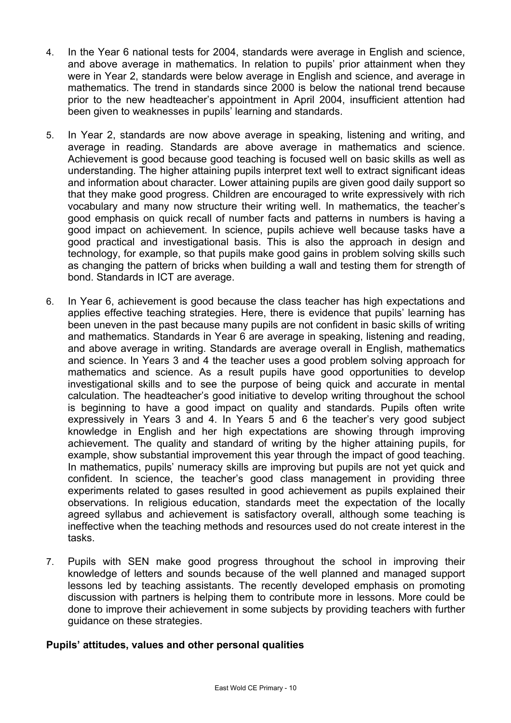- 4. In the Year 6 national tests for 2004, standards were average in English and science, and above average in mathematics. In relation to pupils' prior attainment when they were in Year 2, standards were below average in English and science, and average in mathematics. The trend in standards since 2000 is below the national trend because prior to the new headteacher's appointment in April 2004, insufficient attention had been given to weaknesses in pupils' learning and standards.
- 5. In Year 2, standards are now above average in speaking, listening and writing, and average in reading. Standards are above average in mathematics and science. Achievement is good because good teaching is focused well on basic skills as well as understanding. The higher attaining pupils interpret text well to extract significant ideas and information about character. Lower attaining pupils are given good daily support so that they make good progress. Children are encouraged to write expressively with rich vocabulary and many now structure their writing well. In mathematics, the teacher's good emphasis on quick recall of number facts and patterns in numbers is having a good impact on achievement. In science, pupils achieve well because tasks have a good practical and investigational basis. This is also the approach in design and technology, for example, so that pupils make good gains in problem solving skills such as changing the pattern of bricks when building a wall and testing them for strength of bond. Standards in ICT are average.
- 6. In Year 6, achievement is good because the class teacher has high expectations and applies effective teaching strategies. Here, there is evidence that pupils' learning has been uneven in the past because many pupils are not confident in basic skills of writing and mathematics. Standards in Year 6 are average in speaking, listening and reading, and above average in writing. Standards are average overall in English, mathematics and science. In Years 3 and 4 the teacher uses a good problem solving approach for mathematics and science. As a result pupils have good opportunities to develop investigational skills and to see the purpose of being quick and accurate in mental calculation. The headteacher's good initiative to develop writing throughout the school is beginning to have a good impact on quality and standards. Pupils often write expressively in Years 3 and 4. In Years 5 and 6 the teacher's very good subject knowledge in English and her high expectations are showing through improving achievement. The quality and standard of writing by the higher attaining pupils, for example, show substantial improvement this year through the impact of good teaching. In mathematics, pupils' numeracy skills are improving but pupils are not yet quick and confident. In science, the teacher's good class management in providing three experiments related to gases resulted in good achievement as pupils explained their observations. In religious education, standards meet the expectation of the locally agreed syllabus and achievement is satisfactory overall, although some teaching is ineffective when the teaching methods and resources used do not create interest in the tasks.
- 7. Pupils with SEN make good progress throughout the school in improving their knowledge of letters and sounds because of the well planned and managed support lessons led by teaching assistants. The recently developed emphasis on promoting discussion with partners is helping them to contribute more in lessons. More could be done to improve their achievement in some subjects by providing teachers with further guidance on these strategies.

## **Pupils' attitudes, values and other personal qualities**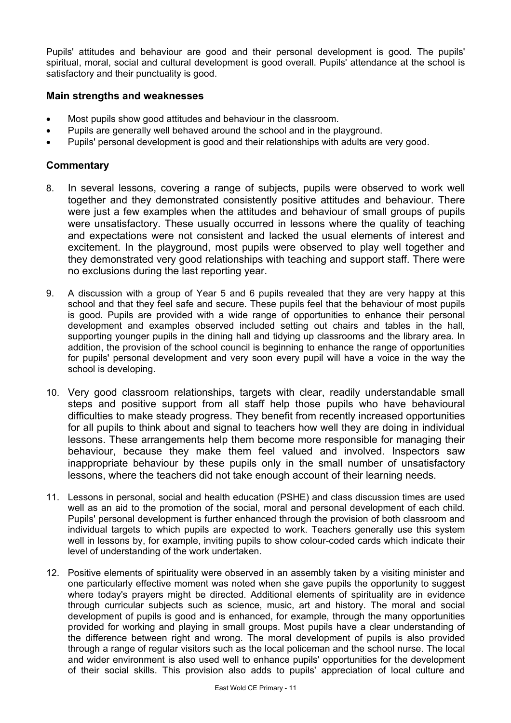Pupils' attitudes and behaviour are good and their personal development is good. The pupils' spiritual, moral, social and cultural development is good overall. Pupils' attendance at the school is satisfactory and their punctuality is good.

### **Main strengths and weaknesses**

- Most pupils show good attitudes and behaviour in the classroom.
- Pupils are generally well behaved around the school and in the playground.
- Pupils' personal development is good and their relationships with adults are very good.

### **Commentary**

- 8. In several lessons, covering a range of subjects, pupils were observed to work well together and they demonstrated consistently positive attitudes and behaviour. There were just a few examples when the attitudes and behaviour of small groups of pupils were unsatisfactory. These usually occurred in lessons where the quality of teaching and expectations were not consistent and lacked the usual elements of interest and excitement. In the playground, most pupils were observed to play well together and they demonstrated very good relationships with teaching and support staff. There were no exclusions during the last reporting year.
- 9. A discussion with a group of Year 5 and 6 pupils revealed that they are very happy at this school and that they feel safe and secure. These pupils feel that the behaviour of most pupils is good. Pupils are provided with a wide range of opportunities to enhance their personal development and examples observed included setting out chairs and tables in the hall, supporting younger pupils in the dining hall and tidying up classrooms and the library area. In addition, the provision of the school council is beginning to enhance the range of opportunities for pupils' personal development and very soon every pupil will have a voice in the way the school is developing.
- 10. Very good classroom relationships, targets with clear, readily understandable small steps and positive support from all staff help those pupils who have behavioural difficulties to make steady progress. They benefit from recently increased opportunities for all pupils to think about and signal to teachers how well they are doing in individual lessons. These arrangements help them become more responsible for managing their behaviour, because they make them feel valued and involved. Inspectors saw inappropriate behaviour by these pupils only in the small number of unsatisfactory lessons, where the teachers did not take enough account of their learning needs.
- 11. Lessons in personal, social and health education (PSHE) and class discussion times are used well as an aid to the promotion of the social, moral and personal development of each child. Pupils' personal development is further enhanced through the provision of both classroom and individual targets to which pupils are expected to work. Teachers generally use this system well in lessons by, for example, inviting pupils to show colour-coded cards which indicate their level of understanding of the work undertaken.
- 12. Positive elements of spirituality were observed in an assembly taken by a visiting minister and one particularly effective moment was noted when she gave pupils the opportunity to suggest where today's prayers might be directed. Additional elements of spirituality are in evidence through curricular subjects such as science, music, art and history. The moral and social development of pupils is good and is enhanced, for example, through the many opportunities provided for working and playing in small groups. Most pupils have a clear understanding of the difference between right and wrong. The moral development of pupils is also provided through a range of regular visitors such as the local policeman and the school nurse. The local and wider environment is also used well to enhance pupils' opportunities for the development of their social skills. This provision also adds to pupils' appreciation of local culture and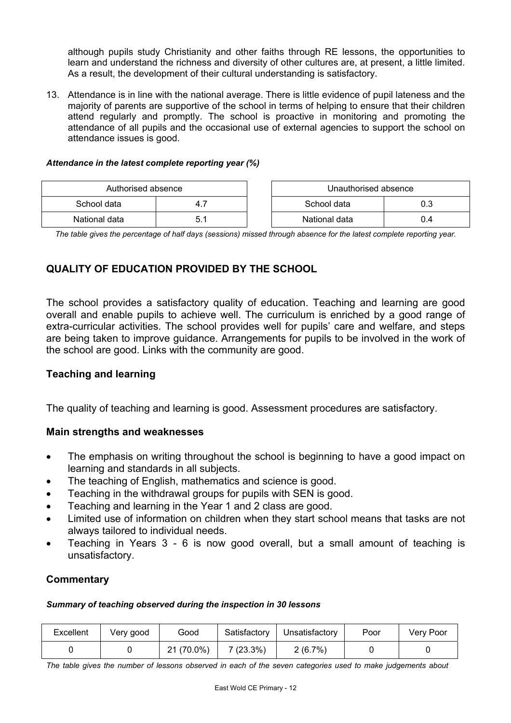although pupils study Christianity and other faiths through RE lessons, the opportunities to learn and understand the richness and diversity of other cultures are, at present, a little limited. As a result, the development of their cultural understanding is satisfactory.

13. Attendance is in line with the national average. There is little evidence of pupil lateness and the majority of parents are supportive of the school in terms of helping to ensure that their children attend regularly and promptly. The school is proactive in monitoring and promoting the attendance of all pupils and the occasional use of external agencies to support the school on attendance issues is good.

### *Attendance in the latest complete reporting year (%)*

| Authorised absence |      | Unauthorised absence |     |
|--------------------|------|----------------------|-----|
| School data        |      | School data          | 0.3 |
| National data      | 5. . | National data        | J.4 |

*The table gives the percentage of half days (sessions) missed through absence for the latest complete reporting year.*

# **QUALITY OF EDUCATION PROVIDED BY THE SCHOOL**

The school provides a satisfactory quality of education. Teaching and learning are good overall and enable pupils to achieve well. The curriculum is enriched by a good range of extra-curricular activities. The school provides well for pupils' care and welfare, and steps are being taken to improve guidance. Arrangements for pupils to be involved in the work of the school are good. Links with the community are good.

## **Teaching and learning**

The quality of teaching and learning is good. Assessment procedures are satisfactory.

## **Main strengths and weaknesses**

- The emphasis on writing throughout the school is beginning to have a good impact on learning and standards in all subjects.
- The teaching of English, mathematics and science is good.
- Teaching in the withdrawal groups for pupils with SEN is good.
- Teaching and learning in the Year 1 and 2 class are good.
- Limited use of information on children when they start school means that tasks are not always tailored to individual needs.
- Teaching in Years 3 6 is now good overall, but a small amount of teaching is unsatisfactory.

# **Commentary**

#### *Summary of teaching observed during the inspection in 30 lessons*

| Excellent | Very good | Good       | Satisfactory | Unsatisfactory | Poor | Very Poor |
|-----------|-----------|------------|--------------|----------------|------|-----------|
|           |           | 21 (70.0%) | 7 (23.3%)    | 2(6.7%)        |      |           |

*The table gives the number of lessons observed in each of the seven categories used to make judgements about*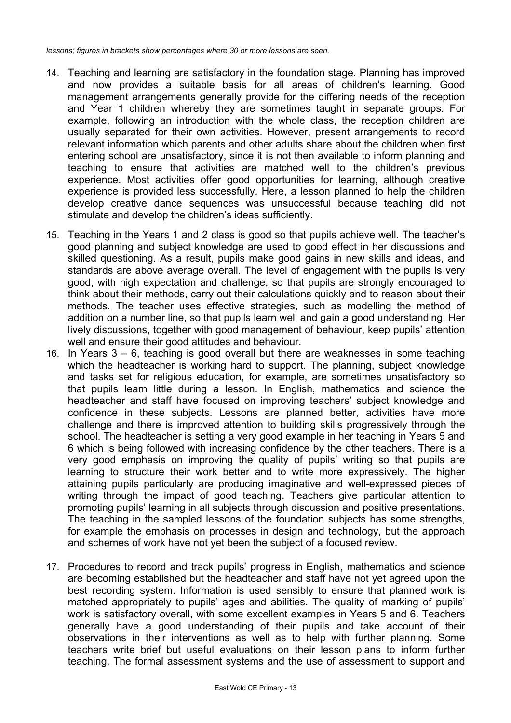*lessons; figures in brackets show percentages where 30 or more lessons are seen.* 

- 14. Teaching and learning are satisfactory in the foundation stage. Planning has improved and now provides a suitable basis for all areas of children's learning. Good management arrangements generally provide for the differing needs of the reception and Year 1 children whereby they are sometimes taught in separate groups. For example, following an introduction with the whole class, the reception children are usually separated for their own activities. However, present arrangements to record relevant information which parents and other adults share about the children when first entering school are unsatisfactory, since it is not then available to inform planning and teaching to ensure that activities are matched well to the children's previous experience. Most activities offer good opportunities for learning, although creative experience is provided less successfully. Here, a lesson planned to help the children develop creative dance sequences was unsuccessful because teaching did not stimulate and develop the children's ideas sufficiently.
- 15. Teaching in the Years 1 and 2 class is good so that pupils achieve well. The teacher's good planning and subject knowledge are used to good effect in her discussions and skilled questioning. As a result, pupils make good gains in new skills and ideas, and standards are above average overall. The level of engagement with the pupils is very good, with high expectation and challenge, so that pupils are strongly encouraged to think about their methods, carry out their calculations quickly and to reason about their methods. The teacher uses effective strategies, such as modelling the method of addition on a number line, so that pupils learn well and gain a good understanding. Her lively discussions, together with good management of behaviour, keep pupils' attention well and ensure their good attitudes and behaviour.
- 16. In Years 3 6, teaching is good overall but there are weaknesses in some teaching which the headteacher is working hard to support. The planning, subject knowledge and tasks set for religious education, for example, are sometimes unsatisfactory so that pupils learn little during a lesson. In English, mathematics and science the headteacher and staff have focused on improving teachers' subject knowledge and confidence in these subjects. Lessons are planned better, activities have more challenge and there is improved attention to building skills progressively through the school. The headteacher is setting a very good example in her teaching in Years 5 and 6 which is being followed with increasing confidence by the other teachers. There is a very good emphasis on improving the quality of pupils' writing so that pupils are learning to structure their work better and to write more expressively. The higher attaining pupils particularly are producing imaginative and well-expressed pieces of writing through the impact of good teaching. Teachers give particular attention to promoting pupils' learning in all subjects through discussion and positive presentations. The teaching in the sampled lessons of the foundation subjects has some strengths, for example the emphasis on processes in design and technology, but the approach and schemes of work have not yet been the subject of a focused review.
- 17. Procedures to record and track pupils' progress in English, mathematics and science are becoming established but the headteacher and staff have not yet agreed upon the best recording system. Information is used sensibly to ensure that planned work is matched appropriately to pupils' ages and abilities. The quality of marking of pupils' work is satisfactory overall, with some excellent examples in Years 5 and 6. Teachers generally have a good understanding of their pupils and take account of their observations in their interventions as well as to help with further planning. Some teachers write brief but useful evaluations on their lesson plans to inform further teaching. The formal assessment systems and the use of assessment to support and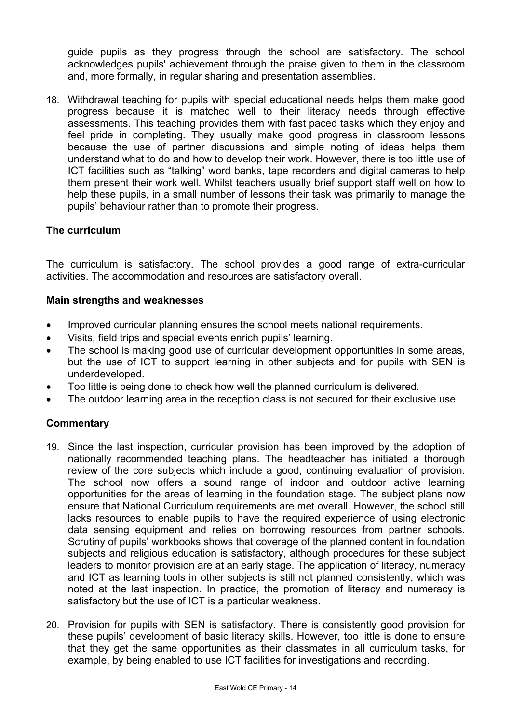guide pupils as they progress through the school are satisfactory. The school acknowledges pupils' achievement through the praise given to them in the classroom and, more formally, in regular sharing and presentation assemblies.

18. Withdrawal teaching for pupils with special educational needs helps them make good progress because it is matched well to their literacy needs through effective assessments. This teaching provides them with fast paced tasks which they enjoy and feel pride in completing. They usually make good progress in classroom lessons because the use of partner discussions and simple noting of ideas helps them understand what to do and how to develop their work. However, there is too little use of ICT facilities such as "talking" word banks, tape recorders and digital cameras to help them present their work well. Whilst teachers usually brief support staff well on how to help these pupils, in a small number of lessons their task was primarily to manage the pupils' behaviour rather than to promote their progress.

# **The curriculum**

The curriculum is satisfactory. The school provides a good range of extra-curricular activities. The accommodation and resources are satisfactory overall.

## **Main strengths and weaknesses**

- Improved curricular planning ensures the school meets national requirements.
- Visits, field trips and special events enrich pupils' learning.
- The school is making good use of curricular development opportunities in some areas, but the use of ICT to support learning in other subjects and for pupils with SEN is underdeveloped.
- Too little is being done to check how well the planned curriculum is delivered.
- The outdoor learning area in the reception class is not secured for their exclusive use.

## **Commentary**

- 19. Since the last inspection, curricular provision has been improved by the adoption of nationally recommended teaching plans. The headteacher has initiated a thorough review of the core subjects which include a good, continuing evaluation of provision. The school now offers a sound range of indoor and outdoor active learning opportunities for the areas of learning in the foundation stage. The subject plans now ensure that National Curriculum requirements are met overall. However, the school still lacks resources to enable pupils to have the required experience of using electronic data sensing equipment and relies on borrowing resources from partner schools. Scrutiny of pupils' workbooks shows that coverage of the planned content in foundation subjects and religious education is satisfactory, although procedures for these subject leaders to monitor provision are at an early stage. The application of literacy, numeracy and ICT as learning tools in other subjects is still not planned consistently, which was noted at the last inspection. In practice, the promotion of literacy and numeracy is satisfactory but the use of ICT is a particular weakness.
- 20. Provision for pupils with SEN is satisfactory. There is consistently good provision for these pupils' development of basic literacy skills. However, too little is done to ensure that they get the same opportunities as their classmates in all curriculum tasks, for example, by being enabled to use ICT facilities for investigations and recording.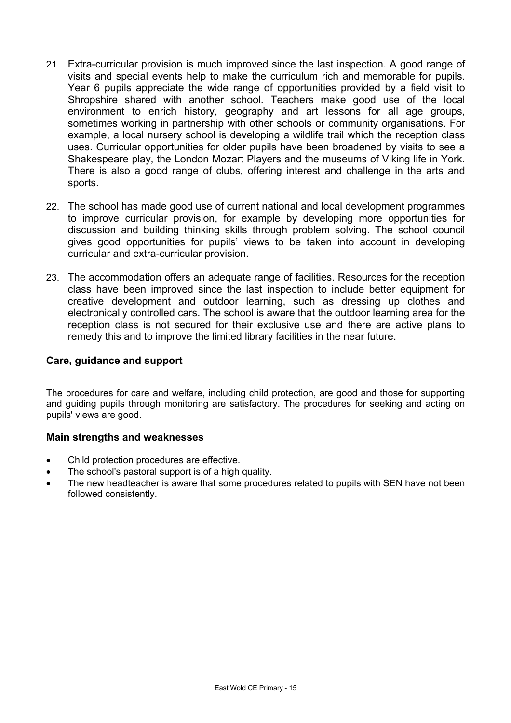- 21. Extra-curricular provision is much improved since the last inspection. A good range of visits and special events help to make the curriculum rich and memorable for pupils. Year 6 pupils appreciate the wide range of opportunities provided by a field visit to Shropshire shared with another school. Teachers make good use of the local environment to enrich history, geography and art lessons for all age groups, sometimes working in partnership with other schools or community organisations. For example, a local nursery school is developing a wildlife trail which the reception class uses. Curricular opportunities for older pupils have been broadened by visits to see a Shakespeare play, the London Mozart Players and the museums of Viking life in York. There is also a good range of clubs, offering interest and challenge in the arts and sports.
- 22. The school has made good use of current national and local development programmes to improve curricular provision, for example by developing more opportunities for discussion and building thinking skills through problem solving. The school council gives good opportunities for pupils' views to be taken into account in developing curricular and extra-curricular provision.
- 23. The accommodation offers an adequate range of facilities. Resources for the reception class have been improved since the last inspection to include better equipment for creative development and outdoor learning, such as dressing up clothes and electronically controlled cars. The school is aware that the outdoor learning area for the reception class is not secured for their exclusive use and there are active plans to remedy this and to improve the limited library facilities in the near future.

### **Care, guidance and support**

The procedures for care and welfare, including child protection, are good and those for supporting and guiding pupils through monitoring are satisfactory. The procedures for seeking and acting on pupils' views are good.

#### **Main strengths and weaknesses**

- Child protection procedures are effective.
- The school's pastoral support is of a high quality.
- The new headteacher is aware that some procedures related to pupils with SEN have not been followed consistently.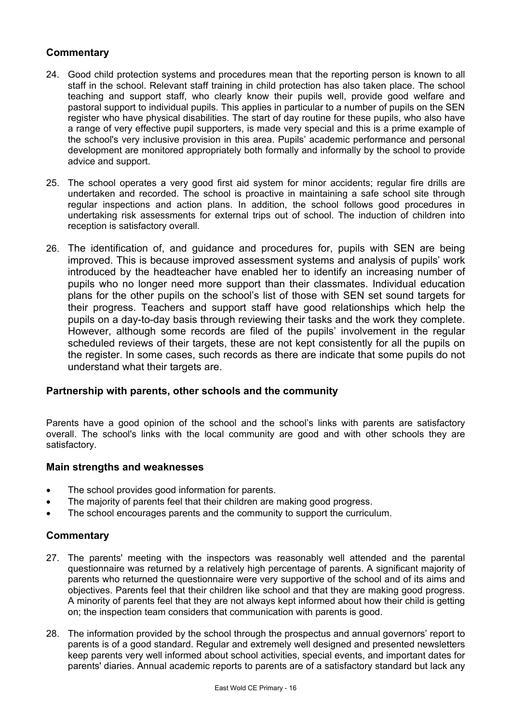# **Commentary**

- 24. Good child protection systems and procedures mean that the reporting person is known to all staff in the school. Relevant staff training in child protection has also taken place. The school teaching and support staff, who clearly know their pupils well, provide good welfare and pastoral support to individual pupils. This applies in particular to a number of pupils on the SEN register who have physical disabilities. The start of day routine for these pupils, who also have a range of very effective pupil supporters, is made very special and this is a prime example of the school's very inclusive provision in this area. Pupils' academic performance and personal development are monitored appropriately both formally and informally by the school to provide advice and support.
- 25. The school operates a very good first aid system for minor accidents; regular fire drills are undertaken and recorded. The school is proactive in maintaining a safe school site through regular inspections and action plans. In addition, the school follows good procedures in undertaking risk assessments for external trips out of school. The induction of children into reception is satisfactory overall.
- 26. The identification of, and guidance and procedures for, pupils with SEN are being improved. This is because improved assessment systems and analysis of pupils' work introduced by the headteacher have enabled her to identify an increasing number of pupils who no longer need more support than their classmates. Individual education plans for the other pupils on the school's list of those with SEN set sound targets for their progress. Teachers and support staff have good relationships which help the pupils on a day-to-day basis through reviewing their tasks and the work they complete. However, although some records are filed of the pupils' involvement in the regular scheduled reviews of their targets, these are not kept consistently for all the pupils on the register. In some cases, such records as there are indicate that some pupils do not understand what their targets are.

#### **Partnership with parents, other schools and the community**

Parents have a good opinion of the school and the school's links with parents are satisfactory overall. The school's links with the local community are good and with other schools they are satisfactory.

#### **Main strengths and weaknesses**

- The school provides good information for parents.
- The majority of parents feel that their children are making good progress.
- The school encourages parents and the community to support the curriculum.

## **Commentary**

- 27. The parents' meeting with the inspectors was reasonably well attended and the parental questionnaire was returned by a relatively high percentage of parents. A significant majority of parents who returned the questionnaire were very supportive of the school and of its aims and objectives. Parents feel that their children like school and that they are making good progress. A minority of parents feel that they are not always kept informed about how their child is getting on; the inspection team considers that communication with parents is good.
- 28. The information provided by the school through the prospectus and annual governors' report to parents is of a good standard. Regular and extremely well designed and presented newsletters keep parents very well informed about school activities, special events, and important dates for parents' diaries. Annual academic reports to parents are of a satisfactory standard but lack any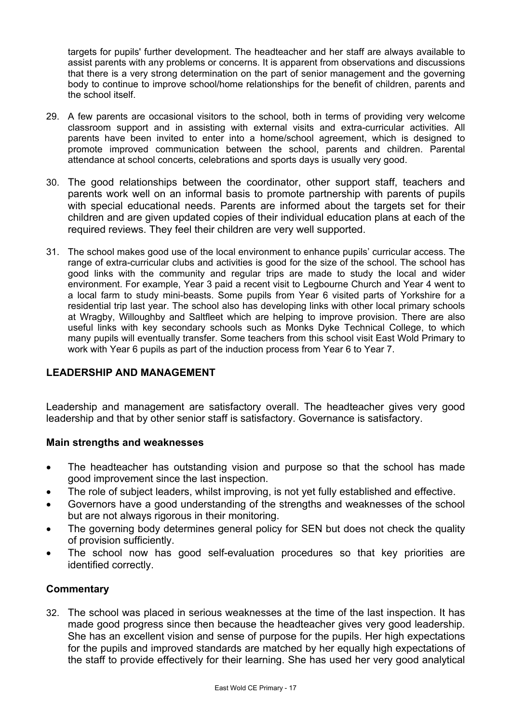targets for pupils' further development. The headteacher and her staff are always available to assist parents with any problems or concerns. It is apparent from observations and discussions that there is a very strong determination on the part of senior management and the governing body to continue to improve school/home relationships for the benefit of children, parents and the school itself.

- 29. A few parents are occasional visitors to the school, both in terms of providing very welcome classroom support and in assisting with external visits and extra-curricular activities. All parents have been invited to enter into a home/school agreement, which is designed to promote improved communication between the school, parents and children. Parental attendance at school concerts, celebrations and sports days is usually very good.
- 30. The good relationships between the coordinator, other support staff, teachers and parents work well on an informal basis to promote partnership with parents of pupils with special educational needs. Parents are informed about the targets set for their children and are given updated copies of their individual education plans at each of the required reviews. They feel their children are very well supported.
- 31. The school makes good use of the local environment to enhance pupils' curricular access. The range of extra-curricular clubs and activities is good for the size of the school. The school has good links with the community and regular trips are made to study the local and wider environment. For example, Year 3 paid a recent visit to Legbourne Church and Year 4 went to a local farm to study mini-beasts. Some pupils from Year 6 visited parts of Yorkshire for a residential trip last year. The school also has developing links with other local primary schools at Wragby, Willoughby and Saltfleet which are helping to improve provision. There are also useful links with key secondary schools such as Monks Dyke Technical College, to which many pupils will eventually transfer. Some teachers from this school visit East Wold Primary to work with Year 6 pupils as part of the induction process from Year 6 to Year 7.

# **LEADERSHIP AND MANAGEMENT**

Leadership and management are satisfactory overall. The headteacher gives very good leadership and that by other senior staff is satisfactory. Governance is satisfactory.

## **Main strengths and weaknesses**

- The headteacher has outstanding vision and purpose so that the school has made good improvement since the last inspection.
- The role of subject leaders, whilst improving, is not yet fully established and effective.
- Governors have a good understanding of the strengths and weaknesses of the school but are not always rigorous in their monitoring.
- The governing body determines general policy for SEN but does not check the quality of provision sufficiently.
- The school now has good self-evaluation procedures so that key priorities are identified correctly.

# **Commentary**

32. The school was placed in serious weaknesses at the time of the last inspection. It has made good progress since then because the headteacher gives very good leadership. She has an excellent vision and sense of purpose for the pupils. Her high expectations for the pupils and improved standards are matched by her equally high expectations of the staff to provide effectively for their learning. She has used her very good analytical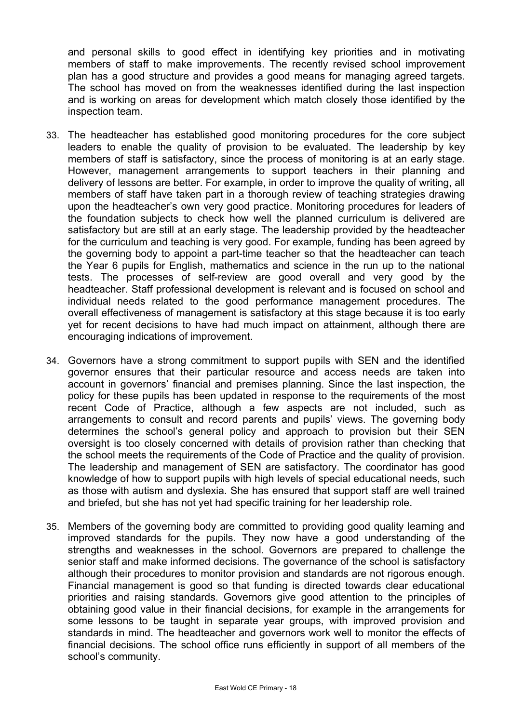and personal skills to good effect in identifying key priorities and in motivating members of staff to make improvements. The recently revised school improvement plan has a good structure and provides a good means for managing agreed targets. The school has moved on from the weaknesses identified during the last inspection and is working on areas for development which match closely those identified by the inspection team.

- 33. The headteacher has established good monitoring procedures for the core subject leaders to enable the quality of provision to be evaluated. The leadership by key members of staff is satisfactory, since the process of monitoring is at an early stage. However, management arrangements to support teachers in their planning and delivery of lessons are better. For example, in order to improve the quality of writing, all members of staff have taken part in a thorough review of teaching strategies drawing upon the headteacher's own very good practice. Monitoring procedures for leaders of the foundation subjects to check how well the planned curriculum is delivered are satisfactory but are still at an early stage. The leadership provided by the headteacher for the curriculum and teaching is very good. For example, funding has been agreed by the governing body to appoint a part-time teacher so that the headteacher can teach the Year 6 pupils for English, mathematics and science in the run up to the national tests. The processes of self-review are good overall and very good by the headteacher. Staff professional development is relevant and is focused on school and individual needs related to the good performance management procedures. The overall effectiveness of management is satisfactory at this stage because it is too early yet for recent decisions to have had much impact on attainment, although there are encouraging indications of improvement.
- 34. Governors have a strong commitment to support pupils with SEN and the identified governor ensures that their particular resource and access needs are taken into account in governors' financial and premises planning. Since the last inspection, the policy for these pupils has been updated in response to the requirements of the most recent Code of Practice, although a few aspects are not included, such as arrangements to consult and record parents and pupils' views. The governing body determines the school's general policy and approach to provision but their SEN oversight is too closely concerned with details of provision rather than checking that the school meets the requirements of the Code of Practice and the quality of provision. The leadership and management of SEN are satisfactory. The coordinator has good knowledge of how to support pupils with high levels of special educational needs, such as those with autism and dyslexia. She has ensured that support staff are well trained and briefed, but she has not yet had specific training for her leadership role.
- 35. Members of the governing body are committed to providing good quality learning and improved standards for the pupils. They now have a good understanding of the strengths and weaknesses in the school. Governors are prepared to challenge the senior staff and make informed decisions. The governance of the school is satisfactory although their procedures to monitor provision and standards are not rigorous enough. Financial management is good so that funding is directed towards clear educational priorities and raising standards. Governors give good attention to the principles of obtaining good value in their financial decisions, for example in the arrangements for some lessons to be taught in separate year groups, with improved provision and standards in mind. The headteacher and governors work well to monitor the effects of financial decisions. The school office runs efficiently in support of all members of the school's community.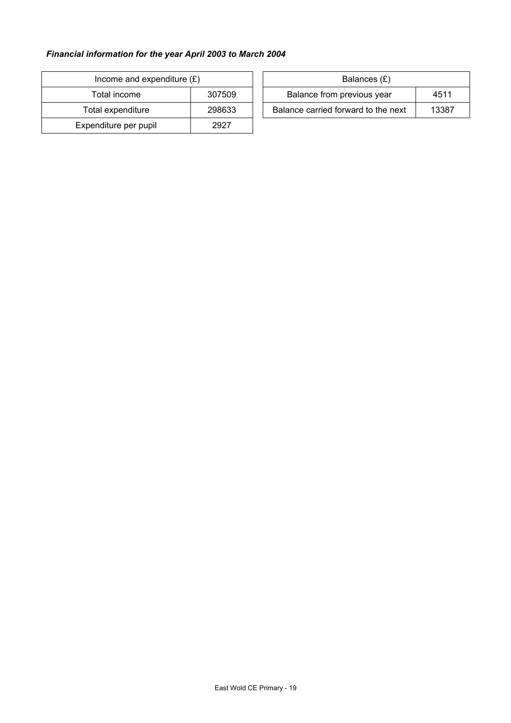# *Financial information for the year April 2003 to March 2004*

| Income and expenditure $(E)$ |        | Balances (£)                     |
|------------------------------|--------|----------------------------------|
| Total income                 | 307509 | Balance from previous year       |
| Total expenditure            | 298633 | Balance carried forward to the r |
| Expenditure per pupil        | 2927   |                                  |

| Income and expenditure $(E)$ |        | Balances (£)                        |       |
|------------------------------|--------|-------------------------------------|-------|
| Total income                 | 307509 | Balance from previous year          | 4511  |
| Total expenditure            | 298633 | Balance carried forward to the next | 13387 |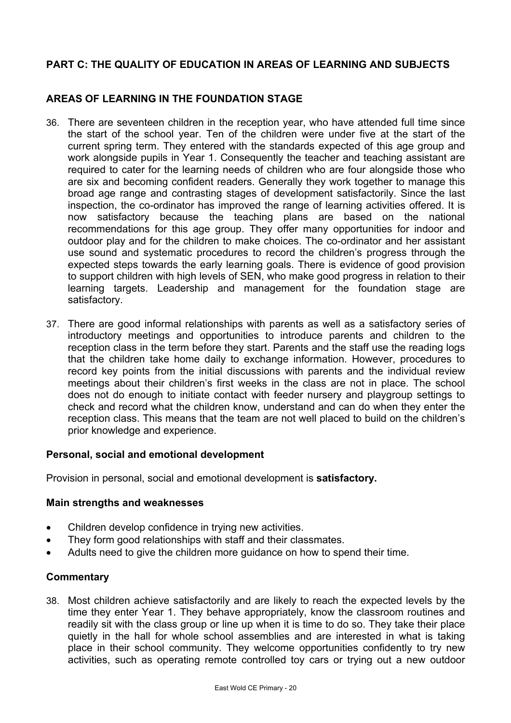# **PART C: THE QUALITY OF EDUCATION IN AREAS OF LEARNING AND SUBJECTS**

# **AREAS OF LEARNING IN THE FOUNDATION STAGE**

- 36. There are seventeen children in the reception year, who have attended full time since the start of the school year. Ten of the children were under five at the start of the current spring term. They entered with the standards expected of this age group and work alongside pupils in Year 1. Consequently the teacher and teaching assistant are required to cater for the learning needs of children who are four alongside those who are six and becoming confident readers. Generally they work together to manage this broad age range and contrasting stages of development satisfactorily. Since the last inspection, the co-ordinator has improved the range of learning activities offered. It is now satisfactory because the teaching plans are based on the national recommendations for this age group. They offer many opportunities for indoor and outdoor play and for the children to make choices. The co-ordinator and her assistant use sound and systematic procedures to record the children's progress through the expected steps towards the early learning goals. There is evidence of good provision to support children with high levels of SEN, who make good progress in relation to their learning targets. Leadership and management for the foundation stage are satisfactory.
- 37. There are good informal relationships with parents as well as a satisfactory series of introductory meetings and opportunities to introduce parents and children to the reception class in the term before they start. Parents and the staff use the reading logs that the children take home daily to exchange information. However, procedures to record key points from the initial discussions with parents and the individual review meetings about their children's first weeks in the class are not in place. The school does not do enough to initiate contact with feeder nursery and playgroup settings to check and record what the children know, understand and can do when they enter the reception class. This means that the team are not well placed to build on the children's prior knowledge and experience.

#### **Personal, social and emotional development**

Provision in personal, social and emotional development is **satisfactory.** 

#### **Main strengths and weaknesses**

- Children develop confidence in trying new activities.
- They form good relationships with staff and their classmates.
- Adults need to give the children more guidance on how to spend their time.

### **Commentary**

38. Most children achieve satisfactorily and are likely to reach the expected levels by the time they enter Year 1. They behave appropriately, know the classroom routines and readily sit with the class group or line up when it is time to do so. They take their place quietly in the hall for whole school assemblies and are interested in what is taking place in their school community. They welcome opportunities confidently to try new activities, such as operating remote controlled toy cars or trying out a new outdoor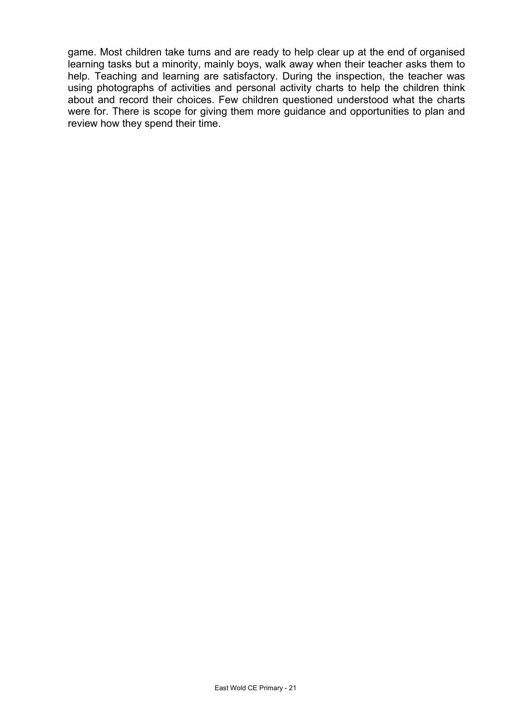game. Most children take turns and are ready to help clear up at the end of organised learning tasks but a minority, mainly boys, walk away when their teacher asks them to help. Teaching and learning are satisfactory. During the inspection, the teacher was using photographs of activities and personal activity charts to help the children think about and record their choices. Few children questioned understood what the charts were for. There is scope for giving them more guidance and opportunities to plan and review how they spend their time.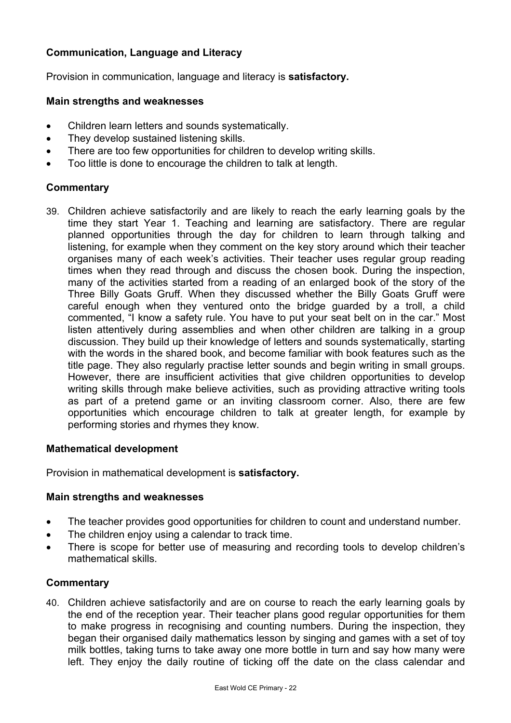# **Communication, Language and Literacy**

Provision in communication, language and literacy is **satisfactory.** 

## **Main strengths and weaknesses**

- Children learn letters and sounds systematically.
- They develop sustained listening skills.
- There are too few opportunities for children to develop writing skills.
- Too little is done to encourage the children to talk at length.

# **Commentary**

39. Children achieve satisfactorily and are likely to reach the early learning goals by the time they start Year 1. Teaching and learning are satisfactory. There are regular planned opportunities through the day for children to learn through talking and listening, for example when they comment on the key story around which their teacher organises many of each week's activities. Their teacher uses regular group reading times when they read through and discuss the chosen book. During the inspection, many of the activities started from a reading of an enlarged book of the story of the Three Billy Goats Gruff. When they discussed whether the Billy Goats Gruff were careful enough when they ventured onto the bridge guarded by a troll, a child commented, "I know a safety rule. You have to put your seat belt on in the car." Most listen attentively during assemblies and when other children are talking in a group discussion. They build up their knowledge of letters and sounds systematically, starting with the words in the shared book, and become familiar with book features such as the title page. They also regularly practise letter sounds and begin writing in small groups. However, there are insufficient activities that give children opportunities to develop writing skills through make believe activities, such as providing attractive writing tools as part of a pretend game or an inviting classroom corner. Also, there are few opportunities which encourage children to talk at greater length, for example by performing stories and rhymes they know.

## **Mathematical development**

Provision in mathematical development is **satisfactory.** 

#### **Main strengths and weaknesses**

- The teacher provides good opportunities for children to count and understand number.
- The children enjoy using a calendar to track time.
- There is scope for better use of measuring and recording tools to develop children's mathematical skills.

## **Commentary**

40. Children achieve satisfactorily and are on course to reach the early learning goals by the end of the reception year. Their teacher plans good regular opportunities for them to make progress in recognising and counting numbers. During the inspection, they began their organised daily mathematics lesson by singing and games with a set of toy milk bottles, taking turns to take away one more bottle in turn and say how many were left. They enjoy the daily routine of ticking off the date on the class calendar and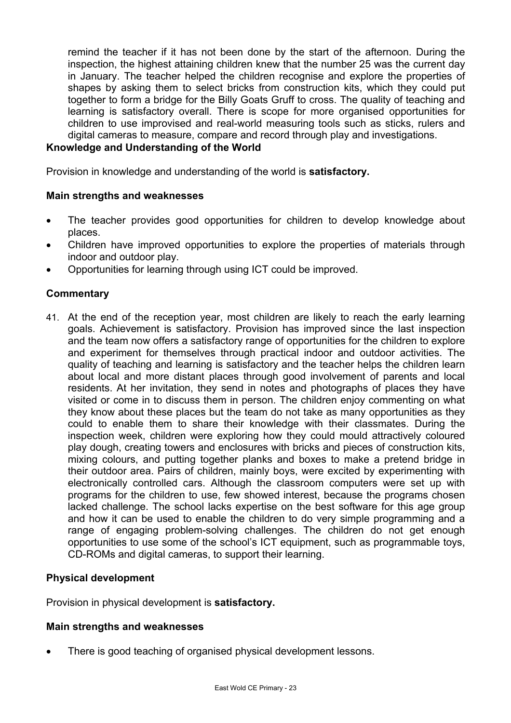remind the teacher if it has not been done by the start of the afternoon. During the inspection, the highest attaining children knew that the number 25 was the current day in January. The teacher helped the children recognise and explore the properties of shapes by asking them to select bricks from construction kits, which they could put together to form a bridge for the Billy Goats Gruff to cross. The quality of teaching and learning is satisfactory overall. There is scope for more organised opportunities for children to use improvised and real-world measuring tools such as sticks, rulers and digital cameras to measure, compare and record through play and investigations.

## **Knowledge and Understanding of the World**

Provision in knowledge and understanding of the world is **satisfactory.** 

#### **Main strengths and weaknesses**

- The teacher provides good opportunities for children to develop knowledge about places.
- Children have improved opportunities to explore the properties of materials through indoor and outdoor play.
- Opportunities for learning through using ICT could be improved.

## **Commentary**

41. At the end of the reception year, most children are likely to reach the early learning goals. Achievement is satisfactory. Provision has improved since the last inspection and the team now offers a satisfactory range of opportunities for the children to explore and experiment for themselves through practical indoor and outdoor activities. The quality of teaching and learning is satisfactory and the teacher helps the children learn about local and more distant places through good involvement of parents and local residents. At her invitation, they send in notes and photographs of places they have visited or come in to discuss them in person. The children enjoy commenting on what they know about these places but the team do not take as many opportunities as they could to enable them to share their knowledge with their classmates. During the inspection week, children were exploring how they could mould attractively coloured play dough, creating towers and enclosures with bricks and pieces of construction kits, mixing colours, and putting together planks and boxes to make a pretend bridge in their outdoor area. Pairs of children, mainly boys, were excited by experimenting with electronically controlled cars. Although the classroom computers were set up with programs for the children to use, few showed interest, because the programs chosen lacked challenge. The school lacks expertise on the best software for this age group and how it can be used to enable the children to do very simple programming and a range of engaging problem-solving challenges. The children do not get enough opportunities to use some of the school's ICT equipment, such as programmable toys, CD-ROMs and digital cameras, to support their learning.

#### **Physical development**

Provision in physical development is **satisfactory.** 

## **Main strengths and weaknesses**

There is good teaching of organised physical development lessons.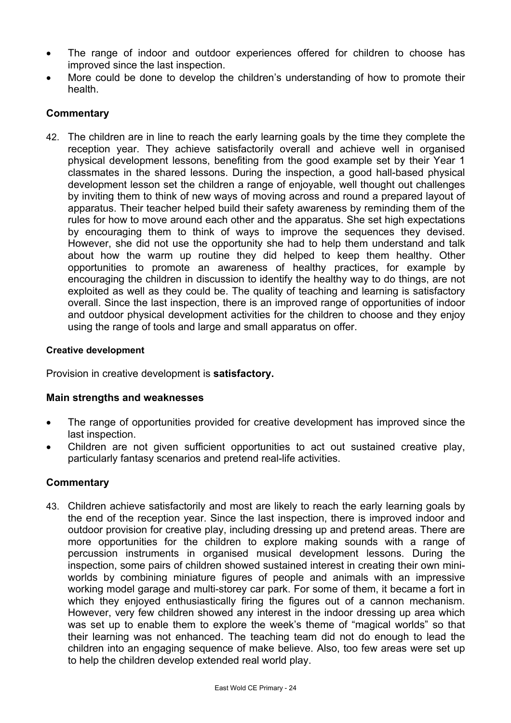- The range of indoor and outdoor experiences offered for children to choose has improved since the last inspection.
- More could be done to develop the children's understanding of how to promote their health.

# **Commentary**

42. The children are in line to reach the early learning goals by the time they complete the reception year. They achieve satisfactorily overall and achieve well in organised physical development lessons, benefiting from the good example set by their Year 1 classmates in the shared lessons. During the inspection, a good hall-based physical development lesson set the children a range of enjoyable, well thought out challenges by inviting them to think of new ways of moving across and round a prepared layout of apparatus. Their teacher helped build their safety awareness by reminding them of the rules for how to move around each other and the apparatus. She set high expectations by encouraging them to think of ways to improve the sequences they devised. However, she did not use the opportunity she had to help them understand and talk about how the warm up routine they did helped to keep them healthy. Other opportunities to promote an awareness of healthy practices, for example by encouraging the children in discussion to identify the healthy way to do things, are not exploited as well as they could be. The quality of teaching and learning is satisfactory overall. Since the last inspection, there is an improved range of opportunities of indoor and outdoor physical development activities for the children to choose and they enjoy using the range of tools and large and small apparatus on offer.

### **Creative development**

Provision in creative development is **satisfactory.** 

#### **Main strengths and weaknesses**

- The range of opportunities provided for creative development has improved since the last inspection.
- Children are not given sufficient opportunities to act out sustained creative play, particularly fantasy scenarios and pretend real-life activities.

## **Commentary**

43. Children achieve satisfactorily and most are likely to reach the early learning goals by the end of the reception year. Since the last inspection, there is improved indoor and outdoor provision for creative play, including dressing up and pretend areas. There are more opportunities for the children to explore making sounds with a range of percussion instruments in organised musical development lessons. During the inspection, some pairs of children showed sustained interest in creating their own miniworlds by combining miniature figures of people and animals with an impressive working model garage and multi-storey car park. For some of them, it became a fort in which they enjoyed enthusiastically firing the figures out of a cannon mechanism. However, very few children showed any interest in the indoor dressing up area which was set up to enable them to explore the week's theme of "magical worlds" so that their learning was not enhanced. The teaching team did not do enough to lead the children into an engaging sequence of make believe. Also, too few areas were set up to help the children develop extended real world play.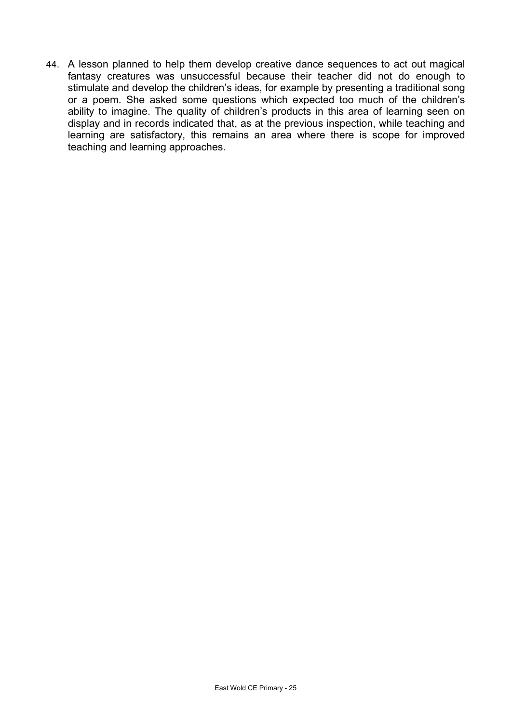44. A lesson planned to help them develop creative dance sequences to act out magical fantasy creatures was unsuccessful because their teacher did not do enough to stimulate and develop the children's ideas, for example by presenting a traditional song or a poem. She asked some questions which expected too much of the children's ability to imagine. The quality of children's products in this area of learning seen on display and in records indicated that, as at the previous inspection, while teaching and learning are satisfactory, this remains an area where there is scope for improved teaching and learning approaches.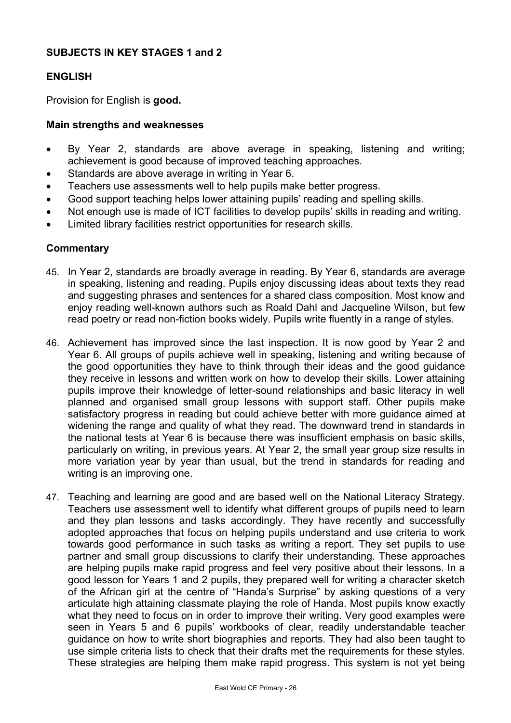# **SUBJECTS IN KEY STAGES 1 and 2**

# **ENGLISH**

Provision for English is **good.** 

## **Main strengths and weaknesses**

- By Year 2, standards are above average in speaking, listening and writing; achievement is good because of improved teaching approaches.
- Standards are above average in writing in Year 6.
- Teachers use assessments well to help pupils make better progress.
- Good support teaching helps lower attaining pupils' reading and spelling skills.
- Not enough use is made of ICT facilities to develop pupils' skills in reading and writing.
- Limited library facilities restrict opportunities for research skills.

## **Commentary**

- 45. In Year 2, standards are broadly average in reading. By Year 6, standards are average in speaking, listening and reading. Pupils enjoy discussing ideas about texts they read and suggesting phrases and sentences for a shared class composition. Most know and enjoy reading well-known authors such as Roald Dahl and Jacqueline Wilson, but few read poetry or read non-fiction books widely. Pupils write fluently in a range of styles.
- 46. Achievement has improved since the last inspection. It is now good by Year 2 and Year 6. All groups of pupils achieve well in speaking, listening and writing because of the good opportunities they have to think through their ideas and the good guidance they receive in lessons and written work on how to develop their skills. Lower attaining pupils improve their knowledge of letter-sound relationships and basic literacy in well planned and organised small group lessons with support staff. Other pupils make satisfactory progress in reading but could achieve better with more guidance aimed at widening the range and quality of what they read. The downward trend in standards in the national tests at Year 6 is because there was insufficient emphasis on basic skills, particularly on writing, in previous years. At Year 2, the small year group size results in more variation year by year than usual, but the trend in standards for reading and writing is an improving one.
- 47. Teaching and learning are good and are based well on the National Literacy Strategy. Teachers use assessment well to identify what different groups of pupils need to learn and they plan lessons and tasks accordingly. They have recently and successfully adopted approaches that focus on helping pupils understand and use criteria to work towards good performance in such tasks as writing a report. They set pupils to use partner and small group discussions to clarify their understanding. These approaches are helping pupils make rapid progress and feel very positive about their lessons. In a good lesson for Years 1 and 2 pupils, they prepared well for writing a character sketch of the African girl at the centre of "Handa's Surprise" by asking questions of a very articulate high attaining classmate playing the role of Handa. Most pupils know exactly what they need to focus on in order to improve their writing. Very good examples were seen in Years 5 and 6 pupils' workbooks of clear, readily understandable teacher guidance on how to write short biographies and reports. They had also been taught to use simple criteria lists to check that their drafts met the requirements for these styles. These strategies are helping them make rapid progress. This system is not yet being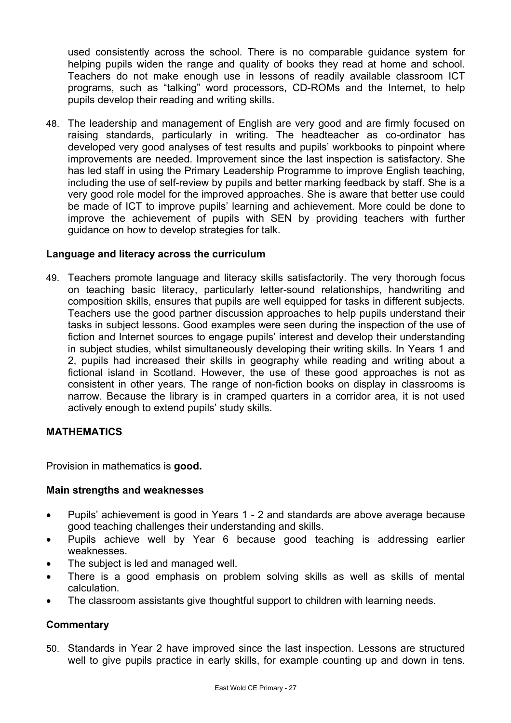used consistently across the school. There is no comparable guidance system for helping pupils widen the range and quality of books they read at home and school. Teachers do not make enough use in lessons of readily available classroom ICT programs, such as "talking" word processors, CD-ROMs and the Internet, to help pupils develop their reading and writing skills.

48. The leadership and management of English are very good and are firmly focused on raising standards, particularly in writing. The headteacher as co-ordinator has developed very good analyses of test results and pupils' workbooks to pinpoint where improvements are needed. Improvement since the last inspection is satisfactory. She has led staff in using the Primary Leadership Programme to improve English teaching, including the use of self-review by pupils and better marking feedback by staff. She is a very good role model for the improved approaches. She is aware that better use could be made of ICT to improve pupils' learning and achievement. More could be done to improve the achievement of pupils with SEN by providing teachers with further guidance on how to develop strategies for talk.

# **Language and literacy across the curriculum**

49. Teachers promote language and literacy skills satisfactorily. The very thorough focus on teaching basic literacy, particularly letter-sound relationships, handwriting and composition skills, ensures that pupils are well equipped for tasks in different subjects. Teachers use the good partner discussion approaches to help pupils understand their tasks in subject lessons. Good examples were seen during the inspection of the use of fiction and Internet sources to engage pupils' interest and develop their understanding in subject studies, whilst simultaneously developing their writing skills. In Years 1 and 2, pupils had increased their skills in geography while reading and writing about a fictional island in Scotland. However, the use of these good approaches is not as consistent in other years. The range of non-fiction books on display in classrooms is narrow. Because the library is in cramped quarters in a corridor area, it is not used actively enough to extend pupils' study skills.

# **MATHEMATICS**

Provision in mathematics is **good.** 

## **Main strengths and weaknesses**

- Pupils' achievement is good in Years 1 2 and standards are above average because good teaching challenges their understanding and skills.
- Pupils achieve well by Year 6 because good teaching is addressing earlier weaknesses.
- The subject is led and managed well.
- There is a good emphasis on problem solving skills as well as skills of mental calculation.
- The classroom assistants give thoughtful support to children with learning needs.

## **Commentary**

50. Standards in Year 2 have improved since the last inspection. Lessons are structured well to give pupils practice in early skills, for example counting up and down in tens.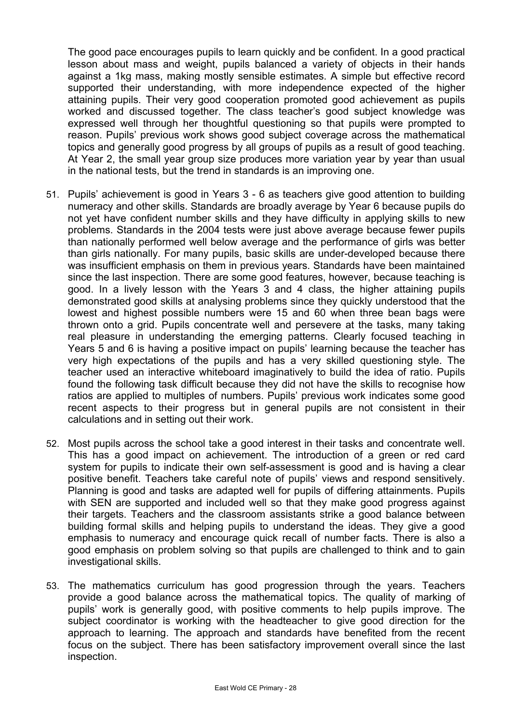The good pace encourages pupils to learn quickly and be confident. In a good practical lesson about mass and weight, pupils balanced a variety of objects in their hands against a 1kg mass, making mostly sensible estimates. A simple but effective record supported their understanding, with more independence expected of the higher attaining pupils. Their very good cooperation promoted good achievement as pupils worked and discussed together. The class teacher's good subject knowledge was expressed well through her thoughtful questioning so that pupils were prompted to reason. Pupils' previous work shows good subject coverage across the mathematical topics and generally good progress by all groups of pupils as a result of good teaching. At Year 2, the small year group size produces more variation year by year than usual in the national tests, but the trend in standards is an improving one.

- 51. Pupils' achievement is good in Years 3 6 as teachers give good attention to building numeracy and other skills. Standards are broadly average by Year 6 because pupils do not yet have confident number skills and they have difficulty in applying skills to new problems. Standards in the 2004 tests were just above average because fewer pupils than nationally performed well below average and the performance of girls was better than girls nationally. For many pupils, basic skills are under-developed because there was insufficient emphasis on them in previous years. Standards have been maintained since the last inspection. There are some good features, however, because teaching is good. In a lively lesson with the Years 3 and 4 class, the higher attaining pupils demonstrated good skills at analysing problems since they quickly understood that the lowest and highest possible numbers were 15 and 60 when three bean bags were thrown onto a grid. Pupils concentrate well and persevere at the tasks, many taking real pleasure in understanding the emerging patterns. Clearly focused teaching in Years 5 and 6 is having a positive impact on pupils' learning because the teacher has very high expectations of the pupils and has a very skilled questioning style. The teacher used an interactive whiteboard imaginatively to build the idea of ratio. Pupils found the following task difficult because they did not have the skills to recognise how ratios are applied to multiples of numbers. Pupils' previous work indicates some good recent aspects to their progress but in general pupils are not consistent in their calculations and in setting out their work.
- 52. Most pupils across the school take a good interest in their tasks and concentrate well. This has a good impact on achievement. The introduction of a green or red card system for pupils to indicate their own self-assessment is good and is having a clear positive benefit. Teachers take careful note of pupils' views and respond sensitively. Planning is good and tasks are adapted well for pupils of differing attainments. Pupils with SEN are supported and included well so that they make good progress against their targets. Teachers and the classroom assistants strike a good balance between building formal skills and helping pupils to understand the ideas. They give a good emphasis to numeracy and encourage quick recall of number facts. There is also a good emphasis on problem solving so that pupils are challenged to think and to gain investigational skills.
- 53. The mathematics curriculum has good progression through the years. Teachers provide a good balance across the mathematical topics. The quality of marking of pupils' work is generally good, with positive comments to help pupils improve. The subject coordinator is working with the headteacher to give good direction for the approach to learning. The approach and standards have benefited from the recent focus on the subject. There has been satisfactory improvement overall since the last inspection.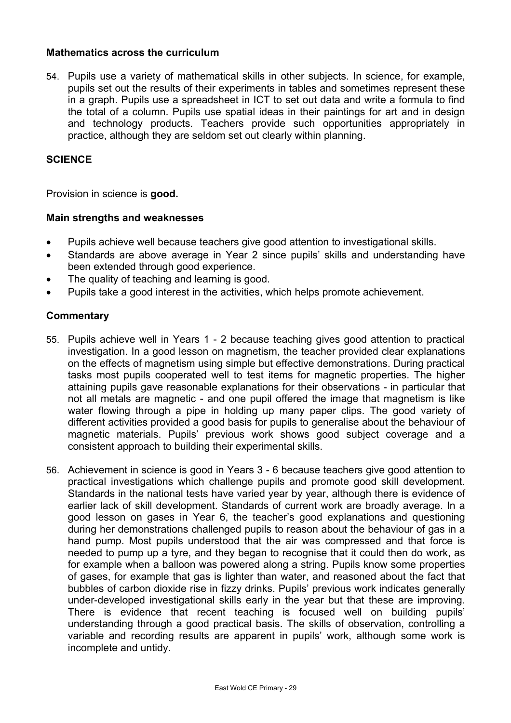## **Mathematics across the curriculum**

54. Pupils use a variety of mathematical skills in other subjects. In science, for example, pupils set out the results of their experiments in tables and sometimes represent these in a graph. Pupils use a spreadsheet in ICT to set out data and write a formula to find the total of a column. Pupils use spatial ideas in their paintings for art and in design and technology products. Teachers provide such opportunities appropriately in practice, although they are seldom set out clearly within planning.

### **SCIENCE**

Provision in science is **good.**

#### **Main strengths and weaknesses**

- Pupils achieve well because teachers give good attention to investigational skills.
- Standards are above average in Year 2 since pupils' skills and understanding have been extended through good experience.
- The quality of teaching and learning is good.
- Pupils take a good interest in the activities, which helps promote achievement.

## **Commentary**

- 55. Pupils achieve well in Years 1 2 because teaching gives good attention to practical investigation. In a good lesson on magnetism, the teacher provided clear explanations on the effects of magnetism using simple but effective demonstrations. During practical tasks most pupils cooperated well to test items for magnetic properties. The higher attaining pupils gave reasonable explanations for their observations - in particular that not all metals are magnetic - and one pupil offered the image that magnetism is like water flowing through a pipe in holding up many paper clips. The good variety of different activities provided a good basis for pupils to generalise about the behaviour of magnetic materials. Pupils' previous work shows good subject coverage and a consistent approach to building their experimental skills.
- 56. Achievement in science is good in Years 3 6 because teachers give good attention to practical investigations which challenge pupils and promote good skill development. Standards in the national tests have varied year by year, although there is evidence of earlier lack of skill development. Standards of current work are broadly average. In a good lesson on gases in Year 6, the teacher's good explanations and questioning during her demonstrations challenged pupils to reason about the behaviour of gas in a hand pump. Most pupils understood that the air was compressed and that force is needed to pump up a tyre, and they began to recognise that it could then do work, as for example when a balloon was powered along a string. Pupils know some properties of gases, for example that gas is lighter than water, and reasoned about the fact that bubbles of carbon dioxide rise in fizzy drinks. Pupils' previous work indicates generally under-developed investigational skills early in the year but that these are improving. There is evidence that recent teaching is focused well on building pupils' understanding through a good practical basis. The skills of observation, controlling a variable and recording results are apparent in pupils' work, although some work is incomplete and untidy.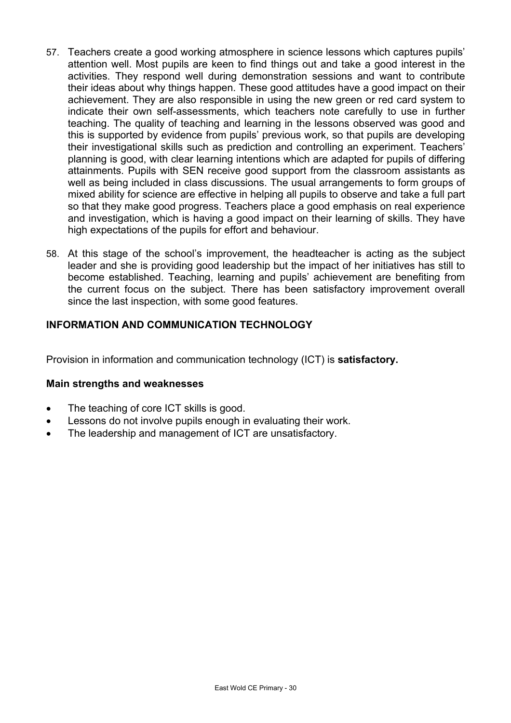- 57. Teachers create a good working atmosphere in science lessons which captures pupils' attention well. Most pupils are keen to find things out and take a good interest in the activities. They respond well during demonstration sessions and want to contribute their ideas about why things happen. These good attitudes have a good impact on their achievement. They are also responsible in using the new green or red card system to indicate their own self-assessments, which teachers note carefully to use in further teaching. The quality of teaching and learning in the lessons observed was good and this is supported by evidence from pupils' previous work, so that pupils are developing their investigational skills such as prediction and controlling an experiment. Teachers' planning is good, with clear learning intentions which are adapted for pupils of differing attainments. Pupils with SEN receive good support from the classroom assistants as well as being included in class discussions. The usual arrangements to form groups of mixed ability for science are effective in helping all pupils to observe and take a full part so that they make good progress. Teachers place a good emphasis on real experience and investigation, which is having a good impact on their learning of skills. They have high expectations of the pupils for effort and behaviour.
- 58. At this stage of the school's improvement, the headteacher is acting as the subject leader and she is providing good leadership but the impact of her initiatives has still to become established. Teaching, learning and pupils' achievement are benefiting from the current focus on the subject. There has been satisfactory improvement overall since the last inspection, with some good features.

# **INFORMATION AND COMMUNICATION TECHNOLOGY**

Provision in information and communication technology (ICT) is **satisfactory.** 

## **Main strengths and weaknesses**

- The teaching of core ICT skills is good.
- Lessons do not involve pupils enough in evaluating their work.
- The leadership and management of ICT are unsatisfactory.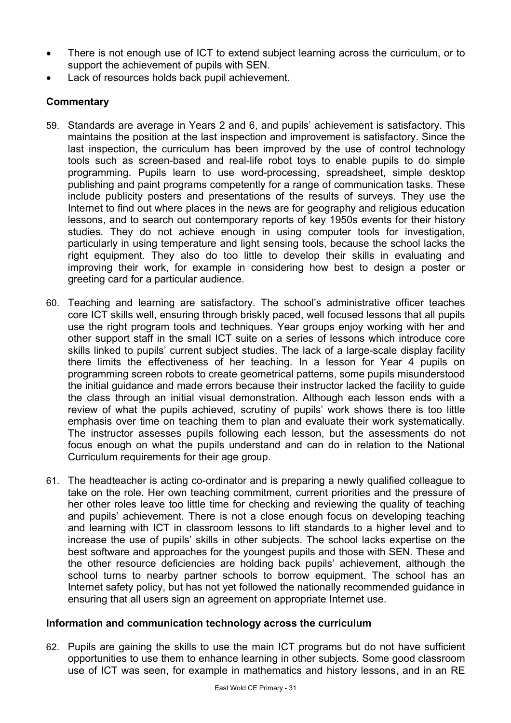- There is not enough use of ICT to extend subject learning across the curriculum, or to support the achievement of pupils with SEN.
- Lack of resources holds back pupil achievement.

# **Commentary**

- 59. Standards are average in Years 2 and 6, and pupils' achievement is satisfactory. This maintains the position at the last inspection and improvement is satisfactory. Since the last inspection, the curriculum has been improved by the use of control technology tools such as screen-based and real-life robot toys to enable pupils to do simple programming. Pupils learn to use word-processing, spreadsheet, simple desktop publishing and paint programs competently for a range of communication tasks. These include publicity posters and presentations of the results of surveys. They use the Internet to find out where places in the news are for geography and religious education lessons, and to search out contemporary reports of key 1950s events for their history studies. They do not achieve enough in using computer tools for investigation, particularly in using temperature and light sensing tools, because the school lacks the right equipment. They also do too little to develop their skills in evaluating and improving their work, for example in considering how best to design a poster or greeting card for a particular audience.
- 60. Teaching and learning are satisfactory. The school's administrative officer teaches core ICT skills well, ensuring through briskly paced, well focused lessons that all pupils use the right program tools and techniques. Year groups enjoy working with her and other support staff in the small ICT suite on a series of lessons which introduce core skills linked to pupils' current subject studies. The lack of a large-scale display facility there limits the effectiveness of her teaching. In a lesson for Year 4 pupils on programming screen robots to create geometrical patterns, some pupils misunderstood the initial guidance and made errors because their instructor lacked the facility to guide the class through an initial visual demonstration. Although each lesson ends with a review of what the pupils achieved, scrutiny of pupils' work shows there is too little emphasis over time on teaching them to plan and evaluate their work systematically. The instructor assesses pupils following each lesson, but the assessments do not focus enough on what the pupils understand and can do in relation to the National Curriculum requirements for their age group.
- 61. The headteacher is acting co-ordinator and is preparing a newly qualified colleague to take on the role. Her own teaching commitment, current priorities and the pressure of her other roles leave too little time for checking and reviewing the quality of teaching and pupils' achievement. There is not a close enough focus on developing teaching and learning with ICT in classroom lessons to lift standards to a higher level and to increase the use of pupils' skills in other subjects. The school lacks expertise on the best software and approaches for the youngest pupils and those with SEN. These and the other resource deficiencies are holding back pupils' achievement, although the school turns to nearby partner schools to borrow equipment. The school has an Internet safety policy, but has not yet followed the nationally recommended guidance in ensuring that all users sign an agreement on appropriate Internet use.

## **Information and communication technology across the curriculum**

62. Pupils are gaining the skills to use the main ICT programs but do not have sufficient opportunities to use them to enhance learning in other subjects. Some good classroom use of ICT was seen, for example in mathematics and history lessons, and in an RE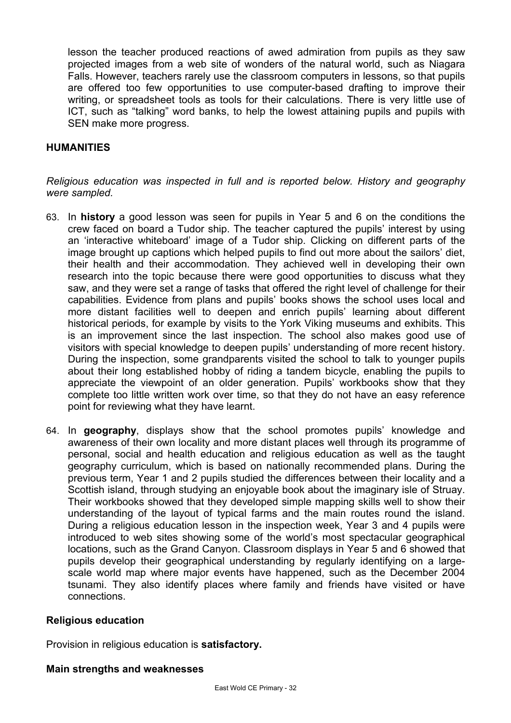lesson the teacher produced reactions of awed admiration from pupils as they saw projected images from a web site of wonders of the natural world, such as Niagara Falls. However, teachers rarely use the classroom computers in lessons, so that pupils are offered too few opportunities to use computer-based drafting to improve their writing, or spreadsheet tools as tools for their calculations. There is very little use of ICT, such as "talking" word banks, to help the lowest attaining pupils and pupils with SEN make more progress.

# **HUMANITIES**

*Religious education was inspected in full and is reported below. History and geography were sampled.* 

- 63. In **history** a good lesson was seen for pupils in Year 5 and 6 on the conditions the crew faced on board a Tudor ship. The teacher captured the pupils' interest by using an 'interactive whiteboard' image of a Tudor ship. Clicking on different parts of the image brought up captions which helped pupils to find out more about the sailors' diet, their health and their accommodation. They achieved well in developing their own research into the topic because there were good opportunities to discuss what they saw, and they were set a range of tasks that offered the right level of challenge for their capabilities. Evidence from plans and pupils' books shows the school uses local and more distant facilities well to deepen and enrich pupils' learning about different historical periods, for example by visits to the York Viking museums and exhibits. This is an improvement since the last inspection. The school also makes good use of visitors with special knowledge to deepen pupils' understanding of more recent history. During the inspection, some grandparents visited the school to talk to younger pupils about their long established hobby of riding a tandem bicycle, enabling the pupils to appreciate the viewpoint of an older generation. Pupils' workbooks show that they complete too little written work over time, so that they do not have an easy reference point for reviewing what they have learnt.
- 64. In **geography**, displays show that the school promotes pupils' knowledge and awareness of their own locality and more distant places well through its programme of personal, social and health education and religious education as well as the taught geography curriculum, which is based on nationally recommended plans. During the previous term, Year 1 and 2 pupils studied the differences between their locality and a Scottish island, through studying an enjoyable book about the imaginary isle of Struay. Their workbooks showed that they developed simple mapping skills well to show their understanding of the layout of typical farms and the main routes round the island. During a religious education lesson in the inspection week, Year 3 and 4 pupils were introduced to web sites showing some of the world's most spectacular geographical locations, such as the Grand Canyon. Classroom displays in Year 5 and 6 showed that pupils develop their geographical understanding by regularly identifying on a largescale world map where major events have happened, such as the December 2004 tsunami. They also identify places where family and friends have visited or have connections.

## **Religious education**

Provision in religious education is **satisfactory.** 

#### **Main strengths and weaknesses**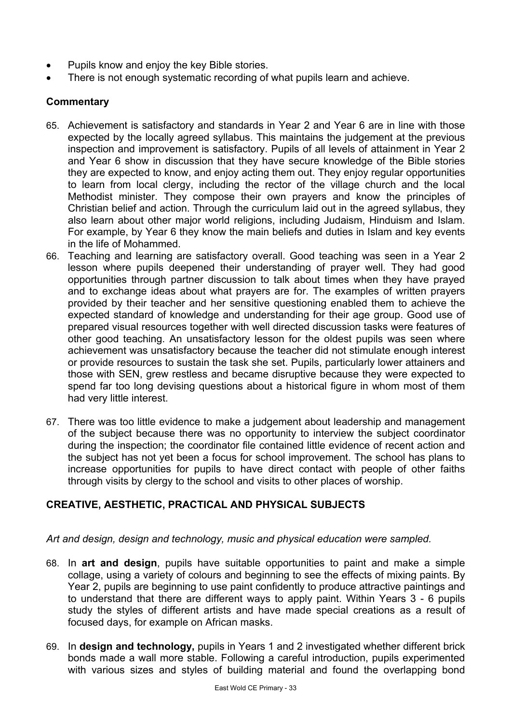- Pupils know and enjoy the key Bible stories.
- There is not enough systematic recording of what pupils learn and achieve.

# **Commentary**

- 65. Achievement is satisfactory and standards in Year 2 and Year 6 are in line with those expected by the locally agreed syllabus. This maintains the judgement at the previous inspection and improvement is satisfactory. Pupils of all levels of attainment in Year 2 and Year 6 show in discussion that they have secure knowledge of the Bible stories they are expected to know, and enjoy acting them out. They enjoy regular opportunities to learn from local clergy, including the rector of the village church and the local Methodist minister. They compose their own prayers and know the principles of Christian belief and action. Through the curriculum laid out in the agreed syllabus, they also learn about other major world religions, including Judaism, Hinduism and Islam. For example, by Year 6 they know the main beliefs and duties in Islam and key events in the life of Mohammed.
- 66. Teaching and learning are satisfactory overall. Good teaching was seen in a Year 2 lesson where pupils deepened their understanding of prayer well. They had good opportunities through partner discussion to talk about times when they have prayed and to exchange ideas about what prayers are for. The examples of written prayers provided by their teacher and her sensitive questioning enabled them to achieve the expected standard of knowledge and understanding for their age group. Good use of prepared visual resources together with well directed discussion tasks were features of other good teaching. An unsatisfactory lesson for the oldest pupils was seen where achievement was unsatisfactory because the teacher did not stimulate enough interest or provide resources to sustain the task she set. Pupils, particularly lower attainers and those with SEN, grew restless and became disruptive because they were expected to spend far too long devising questions about a historical figure in whom most of them had very little interest.
- 67. There was too little evidence to make a judgement about leadership and management of the subject because there was no opportunity to interview the subject coordinator during the inspection; the coordinator file contained little evidence of recent action and the subject has not yet been a focus for school improvement. The school has plans to increase opportunities for pupils to have direct contact with people of other faiths through visits by clergy to the school and visits to other places of worship.

# **CREATIVE, AESTHETIC, PRACTICAL AND PHYSICAL SUBJECTS**

## *Art and design, design and technology, music and physical education were sampled.*

- 68. In **art and design**, pupils have suitable opportunities to paint and make a simple collage, using a variety of colours and beginning to see the effects of mixing paints. By Year 2, pupils are beginning to use paint confidently to produce attractive paintings and to understand that there are different ways to apply paint. Within Years 3 - 6 pupils study the styles of different artists and have made special creations as a result of focused days, for example on African masks.
- 69. In **design and technology,** pupils in Years 1 and 2 investigated whether different brick bonds made a wall more stable. Following a careful introduction, pupils experimented with various sizes and styles of building material and found the overlapping bond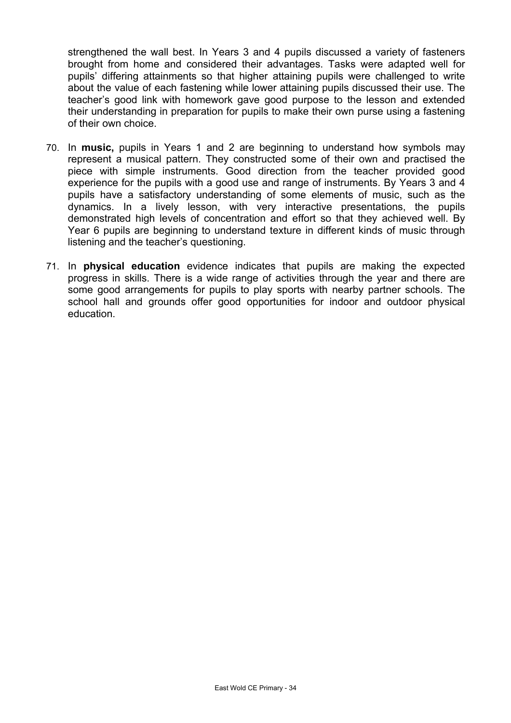strengthened the wall best. In Years 3 and 4 pupils discussed a variety of fasteners brought from home and considered their advantages. Tasks were adapted well for pupils' differing attainments so that higher attaining pupils were challenged to write about the value of each fastening while lower attaining pupils discussed their use. The teacher's good link with homework gave good purpose to the lesson and extended their understanding in preparation for pupils to make their own purse using a fastening of their own choice.

- 70. In **music,** pupils in Years 1 and 2 are beginning to understand how symbols may represent a musical pattern. They constructed some of their own and practised the piece with simple instruments. Good direction from the teacher provided good experience for the pupils with a good use and range of instruments. By Years 3 and 4 pupils have a satisfactory understanding of some elements of music, such as the dynamics. In a lively lesson, with very interactive presentations, the pupils demonstrated high levels of concentration and effort so that they achieved well. By Year 6 pupils are beginning to understand texture in different kinds of music through listening and the teacher's questioning.
- 71. In **physical education** evidence indicates that pupils are making the expected progress in skills. There is a wide range of activities through the year and there are some good arrangements for pupils to play sports with nearby partner schools. The school hall and grounds offer good opportunities for indoor and outdoor physical education.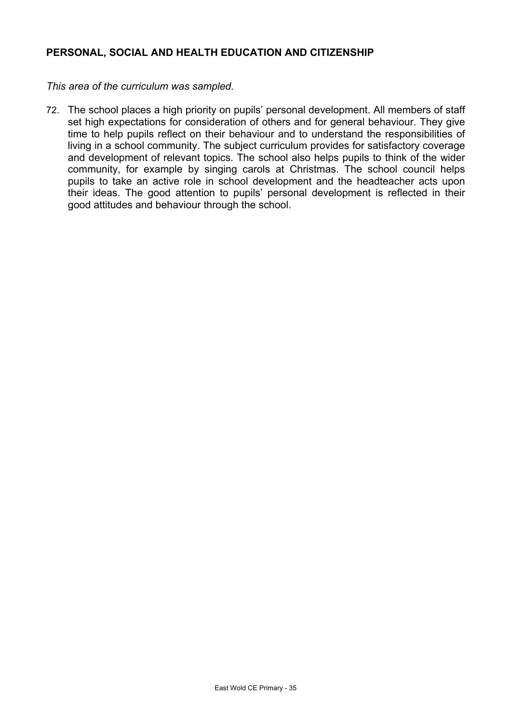# **PERSONAL, SOCIAL AND HEALTH EDUCATION AND CITIZENSHIP**

### *This area of the curriculum was sampled.*

72. The school places a high priority on pupils' personal development. All members of staff set high expectations for consideration of others and for general behaviour. They give time to help pupils reflect on their behaviour and to understand the responsibilities of living in a school community. The subject curriculum provides for satisfactory coverage and development of relevant topics. The school also helps pupils to think of the wider community, for example by singing carols at Christmas. The school council helps pupils to take an active role in school development and the headteacher acts upon their ideas. The good attention to pupils' personal development is reflected in their good attitudes and behaviour through the school.